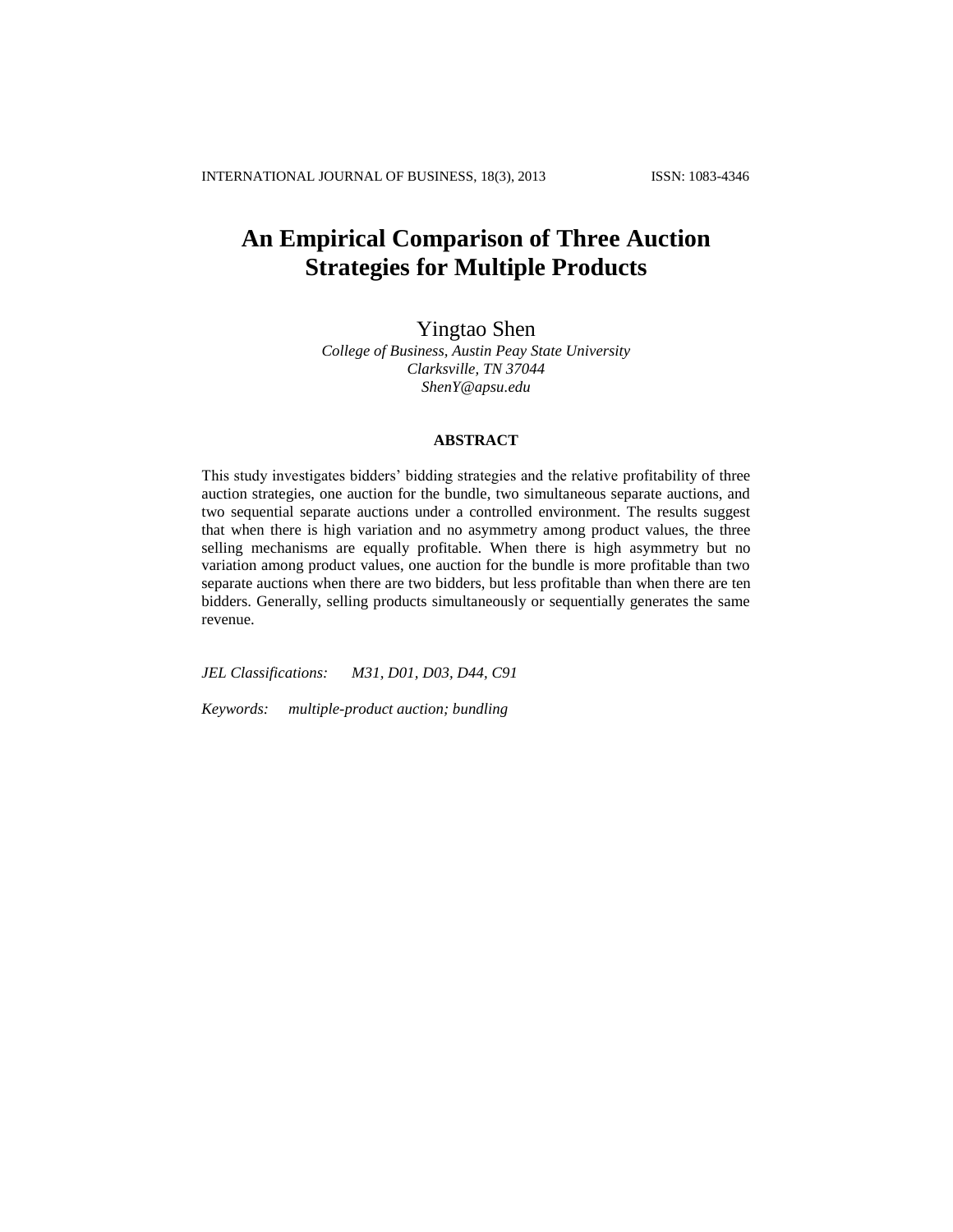# **An Empirical Comparison of Three Auction Strategies for Multiple Products**

Yingtao Shen

*College of Business, Austin Peay State University Clarksville, TN 37044 ShenY@apsu.edu*

# **ABSTRACT**

This study investigates bidders' bidding strategies and the relative profitability of three auction strategies, one auction for the bundle, two simultaneous separate auctions, and two sequential separate auctions under a controlled environment. The results suggest that when there is high variation and no asymmetry among product values, the three selling mechanisms are equally profitable. When there is high asymmetry but no variation among product values, one auction for the bundle is more profitable than two separate auctions when there are two bidders, but less profitable than when there are ten bidders. Generally, selling products simultaneously or sequentially generates the same revenue.

*JEL Classifications: M31, D01, D03, D44, C91* 

*Keywords: multiple-product auction; bundling*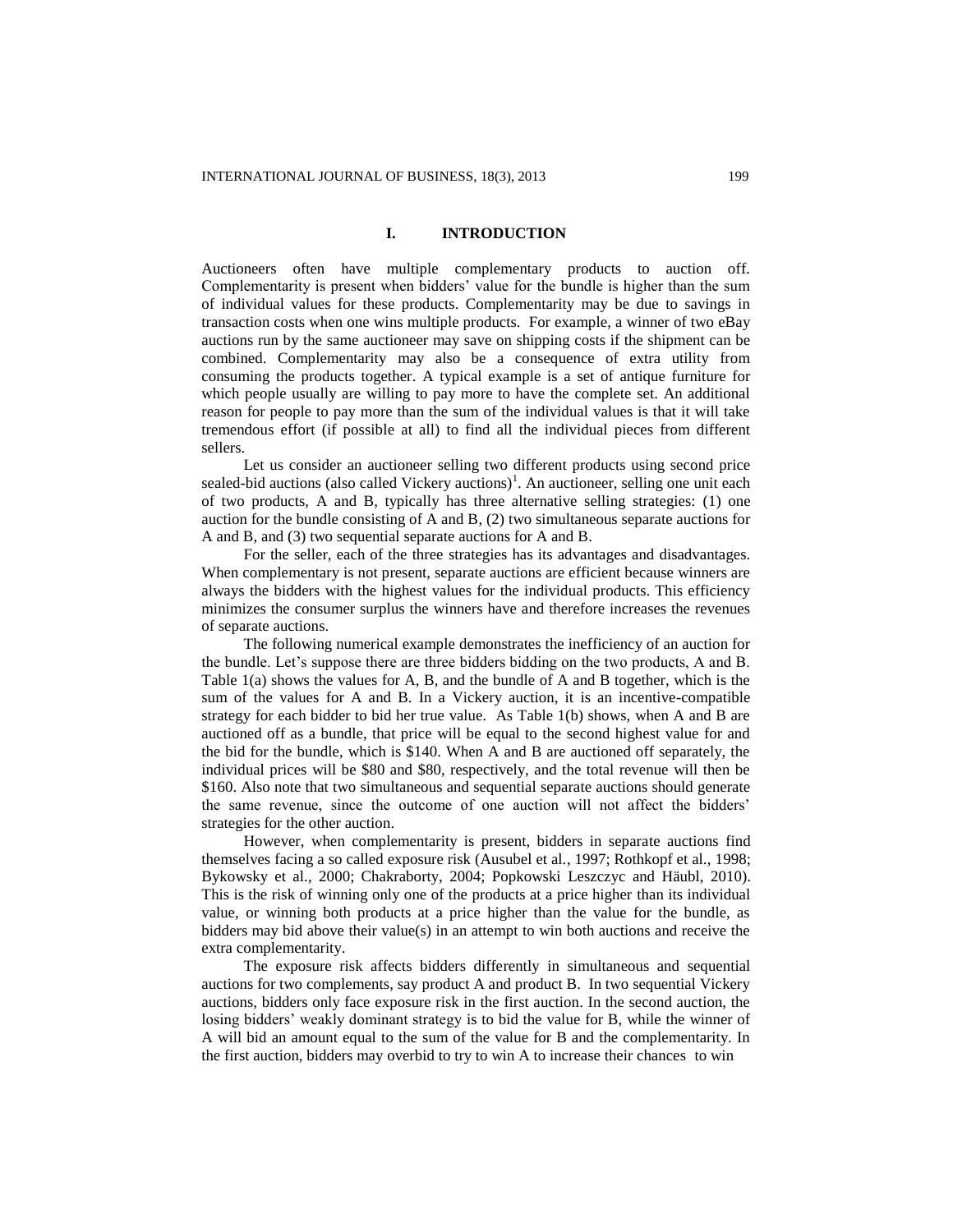### **I. INTRODUCTION**

Auctioneers often have multiple complementary products to auction off. Complementarity is present when bidders' value for the bundle is higher than the sum of individual values for these products. Complementarity may be due to savings in transaction costs when one wins multiple products. For example, a winner of two eBay auctions run by the same auctioneer may save on shipping costs if the shipment can be combined. Complementarity may also be a consequence of extra utility from consuming the products together. A typical example is a set of antique furniture for which people usually are willing to pay more to have the complete set. An additional reason for people to pay more than the sum of the individual values is that it will take tremendous effort (if possible at all) to find all the individual pieces from different sellers.

Let us consider an auctioneer selling two different products using second price sealed-bid auctions (also called Vickery auctions)<sup>1</sup>. An auctioneer, selling one unit each of two products, A and B, typically has three alternative selling strategies: (1) one auction for the bundle consisting of A and B, (2) two simultaneous separate auctions for A and B, and (3) two sequential separate auctions for A and B.

For the seller, each of the three strategies has its advantages and disadvantages. When complementary is not present, separate auctions are efficient because winners are always the bidders with the highest values for the individual products. This efficiency minimizes the consumer surplus the winners have and therefore increases the revenues of separate auctions.

The following numerical example demonstrates the inefficiency of an auction for the bundle. Let's suppose there are three bidders bidding on the two products, A and B. Table 1(a) shows the values for A, B, and the bundle of A and B together, which is the sum of the values for A and B. In a Vickery auction, it is an incentive-compatible strategy for each bidder to bid her true value. As Table 1(b) shows, when A and B are auctioned off as a bundle, that price will be equal to the second highest value for and the bid for the bundle, which is \$140. When A and B are auctioned off separately, the individual prices will be \$80 and \$80, respectively, and the total revenue will then be \$160. Also note that two simultaneous and sequential separate auctions should generate the same revenue, since the outcome of one auction will not affect the bidders' strategies for the other auction.

However, when complementarity is present, bidders in separate auctions find themselves facing a so called exposure risk (Ausubel et al., 1997; Rothkopf et al., 1998; Bykowsky et al., 2000; Chakraborty, 2004; Popkowski Leszczyc and Häubl, 2010). This is the risk of winning only one of the products at a price higher than its individual value, or winning both products at a price higher than the value for the bundle, as bidders may bid above their value(s) in an attempt to win both auctions and receive the extra complementarity.

The exposure risk affects bidders differently in simultaneous and sequential auctions for two complements, say product A and product B. In two sequential Vickery auctions, bidders only face exposure risk in the first auction. In the second auction, the losing bidders' weakly dominant strategy is to bid the value for B, while the winner of A will bid an amount equal to the sum of the value for B and the complementarity. In the first auction, bidders may overbid to try to win A to increase their chances to win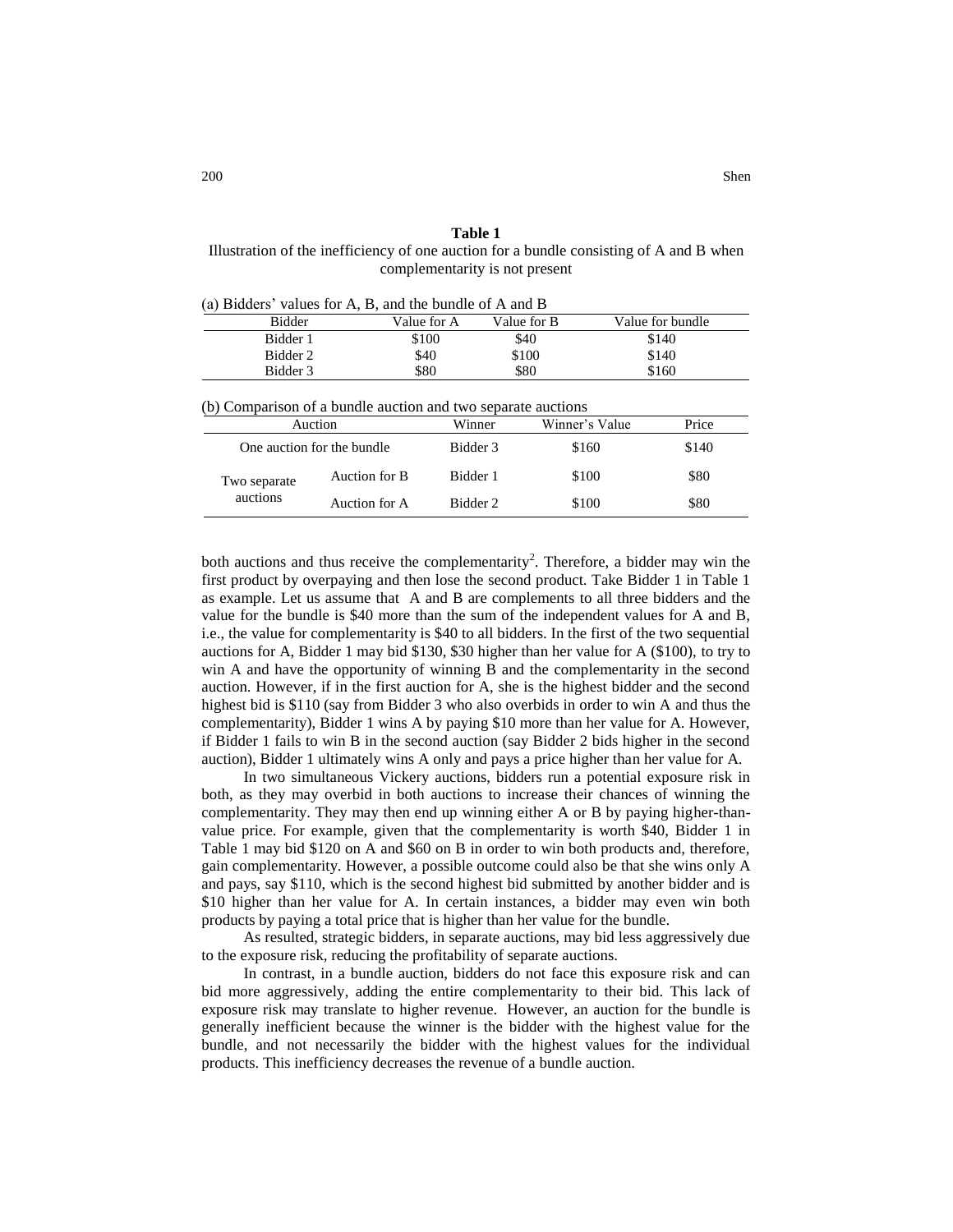#### **Table 1**

Illustration of the inefficiency of one auction for a bundle consisting of A and B when complementarity is not present

| (a) Bidders' values for A, B, and the bundle of A and B |             |             |                  |  |  |  |
|---------------------------------------------------------|-------------|-------------|------------------|--|--|--|
| <b>Bidder</b>                                           | Value for A | Value for B | Value for bundle |  |  |  |
| Bidder 1                                                | \$100       | \$40        | \$140            |  |  |  |
| Bidder 2                                                | \$40        | \$100       | \$140            |  |  |  |
| Bidder 3                                                | \$80        | \$80        | \$160            |  |  |  |
|                                                         |             |             |                  |  |  |  |

(b) Comparison of a bundle auction and two separate auctions

| Auction      |                            | Winner   | Winner's Value | Price |  |
|--------------|----------------------------|----------|----------------|-------|--|
|              | One auction for the bundle | Bidder 3 | \$160          | \$140 |  |
| Two separate | Auction for B              | Bidder 1 | \$100          | \$80  |  |
| auctions     | Auction for A              | Bidder 2 | \$100          | \$80  |  |
|              |                            |          |                |       |  |

both auctions and thus receive the complementarity<sup>2</sup>. Therefore, a bidder may win the first product by overpaying and then lose the second product. Take Bidder 1 in Table 1 as example. Let us assume that A and B are complements to all three bidders and the value for the bundle is \$40 more than the sum of the independent values for A and B, i.e., the value for complementarity is \$40 to all bidders. In the first of the two sequential auctions for A, Bidder 1 may bid \$130, \$30 higher than her value for A (\$100), to try to win A and have the opportunity of winning B and the complementarity in the second auction. However, if in the first auction for A, she is the highest bidder and the second highest bid is \$110 (say from Bidder 3 who also overbids in order to win A and thus the complementarity), Bidder 1 wins A by paying \$10 more than her value for A. However, if Bidder 1 fails to win B in the second auction (say Bidder 2 bids higher in the second auction), Bidder 1 ultimately wins A only and pays a price higher than her value for A.

In two simultaneous Vickery auctions, bidders run a potential exposure risk in both, as they may overbid in both auctions to increase their chances of winning the complementarity. They may then end up winning either A or B by paying higher-thanvalue price. For example, given that the complementarity is worth \$40, Bidder 1 in Table 1 may bid \$120 on A and \$60 on B in order to win both products and, therefore, gain complementarity. However, a possible outcome could also be that she wins only A and pays, say \$110, which is the second highest bid submitted by another bidder and is \$10 higher than her value for A. In certain instances, a bidder may even win both products by paying a total price that is higher than her value for the bundle.

As resulted, strategic bidders, in separate auctions, may bid less aggressively due to the exposure risk, reducing the profitability of separate auctions.

In contrast, in a bundle auction, bidders do not face this exposure risk and can bid more aggressively, adding the entire complementarity to their bid. This lack of exposure risk may translate to higher revenue. However, an auction for the bundle is generally inefficient because the winner is the bidder with the highest value for the bundle, and not necessarily the bidder with the highest values for the individual products. This inefficiency decreases the revenue of a bundle auction.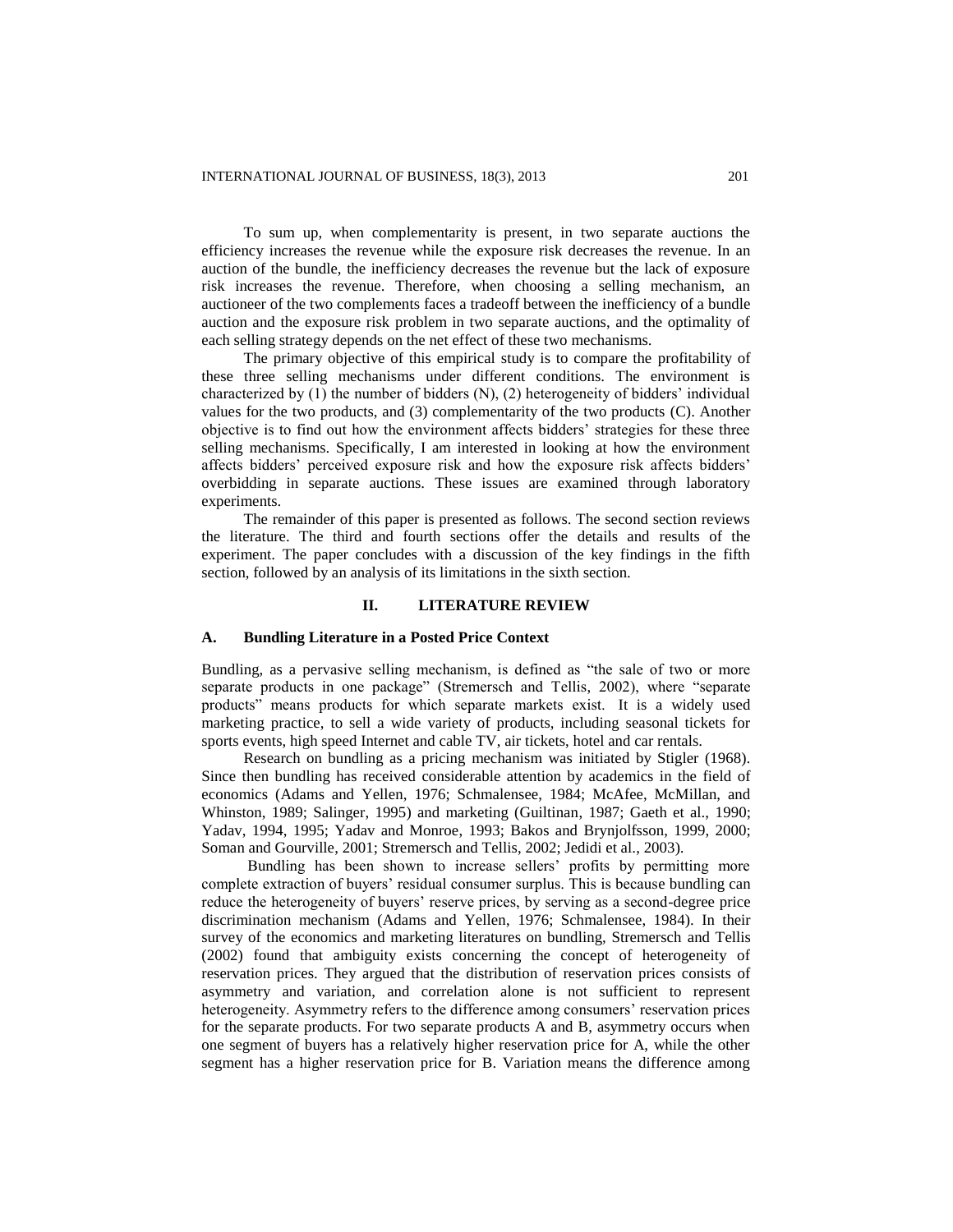To sum up, when complementarity is present, in two separate auctions the efficiency increases the revenue while the exposure risk decreases the revenue. In an auction of the bundle, the inefficiency decreases the revenue but the lack of exposure risk increases the revenue. Therefore, when choosing a selling mechanism, an auctioneer of the two complements faces a tradeoff between the inefficiency of a bundle auction and the exposure risk problem in two separate auctions, and the optimality of each selling strategy depends on the net effect of these two mechanisms.

The primary objective of this empirical study is to compare the profitability of these three selling mechanisms under different conditions. The environment is characterized by (1) the number of bidders (N), (2) heterogeneity of bidders' individual values for the two products, and (3) complementarity of the two products (C). Another objective is to find out how the environment affects bidders' strategies for these three selling mechanisms. Specifically, I am interested in looking at how the environment affects bidders' perceived exposure risk and how the exposure risk affects bidders' overbidding in separate auctions. These issues are examined through laboratory experiments.

The remainder of this paper is presented as follows. The second section reviews the literature. The third and fourth sections offer the details and results of the experiment. The paper concludes with a discussion of the key findings in the fifth section, followed by an analysis of its limitations in the sixth section.

#### **II. LITERATURE REVIEW**

# **A. Bundling Literature in a Posted Price Context**

Bundling, as a pervasive selling mechanism, is defined as "the sale of two or more separate products in one package" (Stremersch and Tellis, 2002), where "separate products" means products for which separate markets exist. It is a widely used marketing practice, to sell a wide variety of products, including seasonal tickets for sports events, high speed Internet and cable TV, air tickets, hotel and car rentals.

Research on bundling as a pricing mechanism was initiated by Stigler (1968). Since then bundling has received considerable attention by academics in the field of economics (Adams and Yellen, 1976; Schmalensee, 1984; McAfee, McMillan, and Whinston, 1989; Salinger, 1995) and marketing (Guiltinan, 1987; Gaeth et al., 1990; Yadav, 1994, 1995; Yadav and Monroe, 1993; Bakos and Brynjolfsson, 1999, 2000; Soman and Gourville, 2001; Stremersch and Tellis, 2002; Jedidi et al., 2003).

Bundling has been shown to increase sellers' profits by permitting more complete extraction of buyers' residual consumer surplus. This is because bundling can reduce the heterogeneity of buyers' reserve prices, by serving as a second-degree price discrimination mechanism (Adams and Yellen, 1976; Schmalensee, 1984). In their survey of the economics and marketing literatures on bundling, Stremersch and Tellis (2002) found that ambiguity exists concerning the concept of heterogeneity of reservation prices. They argued that the distribution of reservation prices consists of asymmetry and variation, and correlation alone is not sufficient to represent heterogeneity. Asymmetry refers to the difference among consumers' reservation prices for the separate products. For two separate products A and B, asymmetry occurs when one segment of buyers has a relatively higher reservation price for A, while the other segment has a higher reservation price for B. Variation means the difference among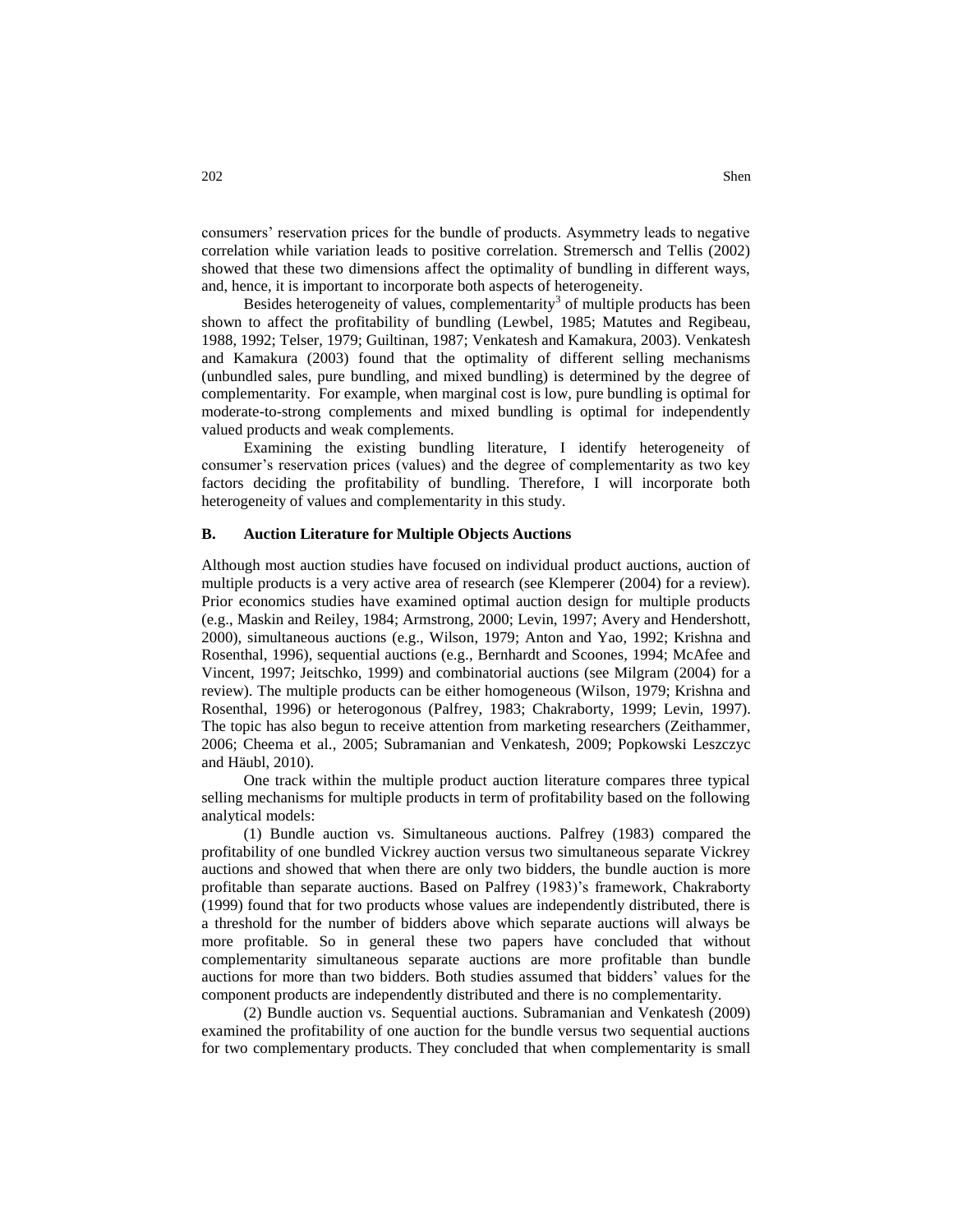consumers' reservation prices for the bundle of products. Asymmetry leads to negative correlation while variation leads to positive correlation. Stremersch and Tellis (2002) showed that these two dimensions affect the optimality of bundling in different ways, and, hence, it is important to incorporate both aspects of heterogeneity.

Besides heterogeneity of values, complementarity<sup>3</sup> of multiple products has been shown to affect the profitability of bundling (Lewbel, 1985; Matutes and Regibeau, 1988, 1992; Telser, 1979; Guiltinan, 1987; Venkatesh and Kamakura, 2003). Venkatesh and Kamakura (2003) found that the optimality of different selling mechanisms (unbundled sales, pure bundling, and mixed bundling) is determined by the degree of complementarity. For example, when marginal cost is low, pure bundling is optimal for moderate-to-strong complements and mixed bundling is optimal for independently valued products and weak complements.

Examining the existing bundling literature, I identify heterogeneity of consumer's reservation prices (values) and the degree of complementarity as two key factors deciding the profitability of bundling. Therefore, I will incorporate both heterogeneity of values and complementarity in this study.

#### **B. Auction Literature for Multiple Objects Auctions**

Although most auction studies have focused on individual product auctions, auction of multiple products is a very active area of research (see Klemperer (2004) for a review). Prior economics studies have examined optimal auction design for multiple products (e.g., Maskin and Reiley, 1984; Armstrong, 2000; Levin, 1997; Avery and Hendershott, 2000), simultaneous auctions (e.g., Wilson, 1979; Anton and Yao, 1992; Krishna and Rosenthal, 1996), sequential auctions (e.g., Bernhardt and Scoones, 1994; McAfee and Vincent, 1997; Jeitschko, 1999) and combinatorial auctions (see Milgram (2004) for a review). The multiple products can be either homogeneous (Wilson, 1979; Krishna and Rosenthal, 1996) or heterogonous (Palfrey, 1983; Chakraborty, 1999; Levin, 1997). The topic has also begun to receive attention from marketing researchers (Zeithammer, 2006; Cheema et al., 2005; Subramanian and Venkatesh, 2009; Popkowski Leszczyc and Häubl, 2010).

One track within the multiple product auction literature compares three typical selling mechanisms for multiple products in term of profitability based on the following analytical models:

(1) Bundle auction vs. Simultaneous auctions. Palfrey (1983) compared the profitability of one bundled Vickrey auction versus two simultaneous separate Vickrey auctions and showed that when there are only two bidders, the bundle auction is more profitable than separate auctions. Based on Palfrey (1983)'s framework, Chakraborty (1999) found that for two products whose values are independently distributed, there is a threshold for the number of bidders above which separate auctions will always be more profitable. So in general these two papers have concluded that without complementarity simultaneous separate auctions are more profitable than bundle auctions for more than two bidders. Both studies assumed that bidders' values for the component products are independently distributed and there is no complementarity.

(2) Bundle auction vs. Sequential auctions. Subramanian and Venkatesh (2009) examined the profitability of one auction for the bundle versus two sequential auctions for two complementary products. They concluded that when complementarity is small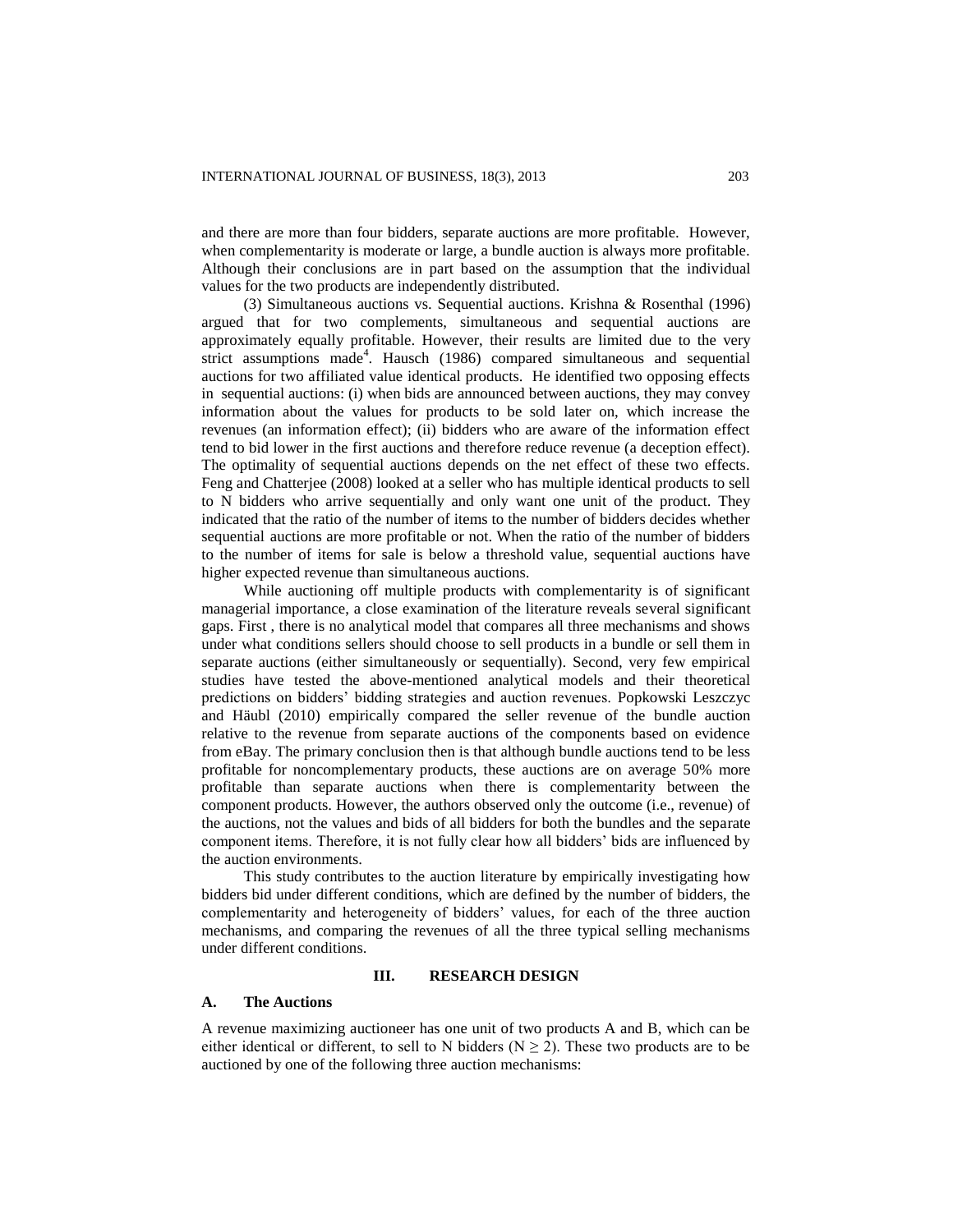and there are more than four bidders, separate auctions are more profitable. However, when complementarity is moderate or large, a bundle auction is always more profitable. Although their conclusions are in part based on the assumption that the individual values for the two products are independently distributed.

(3) Simultaneous auctions vs. Sequential auctions. Krishna & Rosenthal (1996) argued that for two complements, simultaneous and sequential auctions are approximately equally profitable. However, their results are limited due to the very strict assumptions made<sup>4</sup>. Hausch (1986) compared simultaneous and sequential auctions for two affiliated value identical products. He identified two opposing effects in sequential auctions: (i) when bids are announced between auctions, they may convey information about the values for products to be sold later on, which increase the revenues (an information effect); (ii) bidders who are aware of the information effect tend to bid lower in the first auctions and therefore reduce revenue (a deception effect). The optimality of sequential auctions depends on the net effect of these two effects. Feng and Chatterjee (2008) looked at a seller who has multiple identical products to sell to N bidders who arrive sequentially and only want one unit of the product. They indicated that the ratio of the number of items to the number of bidders decides whether sequential auctions are more profitable or not. When the ratio of the number of bidders to the number of items for sale is below a threshold value, sequential auctions have higher expected revenue than simultaneous auctions.

While auctioning off multiple products with complementarity is of significant managerial importance, a close examination of the literature reveals several significant gaps. First , there is no analytical model that compares all three mechanisms and shows under what conditions sellers should choose to sell products in a bundle or sell them in separate auctions (either simultaneously or sequentially). Second, very few empirical studies have tested the above-mentioned analytical models and their theoretical predictions on bidders' bidding strategies and auction revenues. Popkowski Leszczyc and Häubl (2010) empirically compared the seller revenue of the bundle auction relative to the revenue from separate auctions of the components based on evidence from eBay. The primary conclusion then is that although bundle auctions tend to be less profitable for noncomplementary products, these auctions are on average 50% more profitable than separate auctions when there is complementarity between the component products. However, the authors observed only the outcome (i.e., revenue) of the auctions, not the values and bids of all bidders for both the bundles and the separate component items. Therefore, it is not fully clear how all bidders' bids are influenced by the auction environments.

This study contributes to the auction literature by empirically investigating how bidders bid under different conditions, which are defined by the number of bidders, the complementarity and heterogeneity of bidders' values, for each of the three auction mechanisms, and comparing the revenues of all the three typical selling mechanisms under different conditions.

# **III. RESEARCH DESIGN**

# **A. The Auctions**

A revenue maximizing auctioneer has one unit of two products A and B, which can be either identical or different, to sell to N bidders ( $N \ge 2$ ). These two products are to be auctioned by one of the following three auction mechanisms: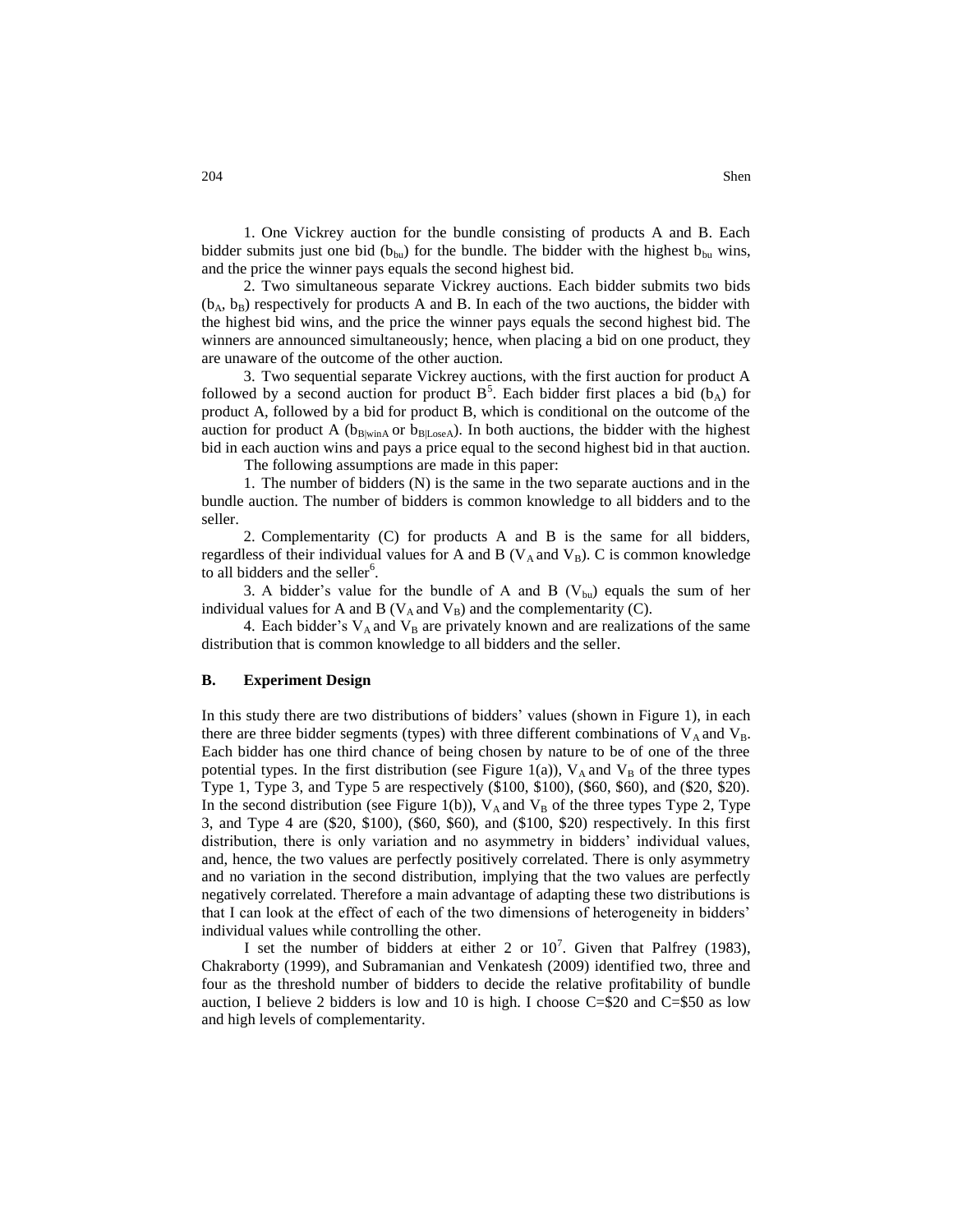1. One Vickrey auction for the bundle consisting of products A and B. Each bidder submits just one bid ( $b_{\text{bu}}$ ) for the bundle. The bidder with the highest  $b_{\text{bu}}$  wins,

and the price the winner pays equals the second highest bid. 2. Two simultaneous separate Vickrey auctions. Each bidder submits two bids  $(b_A, b_B)$  respectively for products A and B. In each of the two auctions, the bidder with the highest bid wins, and the price the winner pays equals the second highest bid. The winners are announced simultaneously; hence, when placing a bid on one product, they are unaware of the outcome of the other auction.

3. Two sequential separate Vickrey auctions, with the first auction for product A followed by a second auction for product  $B^5$ . Each bidder first places a bid (b<sub>A</sub>) for product A, followed by a bid for product B, which is conditional on the outcome of the auction for product A ( $b_{B|wind}$  or  $b_{B|Loss}$ ). In both auctions, the bidder with the highest bid in each auction wins and pays a price equal to the second highest bid in that auction.

The following assumptions are made in this paper:

1. The number of bidders (N) is the same in the two separate auctions and in the bundle auction. The number of bidders is common knowledge to all bidders and to the seller.

2. Complementarity (C) for products A and B is the same for all bidders, regardless of their individual values for A and B ( $V_A$  and  $V_B$ ). C is common knowledge to all bidders and the seller<sup>6</sup>.

3. A bidder's value for the bundle of A and B  $(V_{\text{bu}})$  equals the sum of her individual values for A and B ( $V_A$  and  $V_B$ ) and the complementarity (C).

4. Each bidder's  $V_A$  and  $V_B$  are privately known and are realizations of the same distribution that is common knowledge to all bidders and the seller.

#### **B. Experiment Design**

In this study there are two distributions of bidders' values (shown in Figure 1), in each there are three bidder segments (types) with three different combinations of  $V_A$  and  $V_B$ . Each bidder has one third chance of being chosen by nature to be of one of the three potential types. In the first distribution (see Figure 1(a)),  $V_A$  and  $V_B$  of the three types Type 1, Type 3, and Type 5 are respectively (\$100, \$100), (\$60, \$60), and (\$20, \$20). In the second distribution (see Figure 1(b)),  $V_A$  and  $V_B$  of the three types Type 2, Type 3, and Type 4 are (\$20, \$100), (\$60, \$60), and (\$100, \$20) respectively. In this first distribution, there is only variation and no asymmetry in bidders' individual values, and, hence, the two values are perfectly positively correlated. There is only asymmetry and no variation in the second distribution, implying that the two values are perfectly negatively correlated. Therefore a main advantage of adapting these two distributions is that I can look at the effect of each of the two dimensions of heterogeneity in bidders' individual values while controlling the other.

I set the number of bidders at either 2 or  $10^7$ . Given that Palfrey (1983), Chakraborty (1999), and Subramanian and Venkatesh (2009) identified two, three and four as the threshold number of bidders to decide the relative profitability of bundle auction, I believe 2 bidders is low and 10 is high. I choose  $C=\$20$  and  $C=\$50$  as low and high levels of complementarity.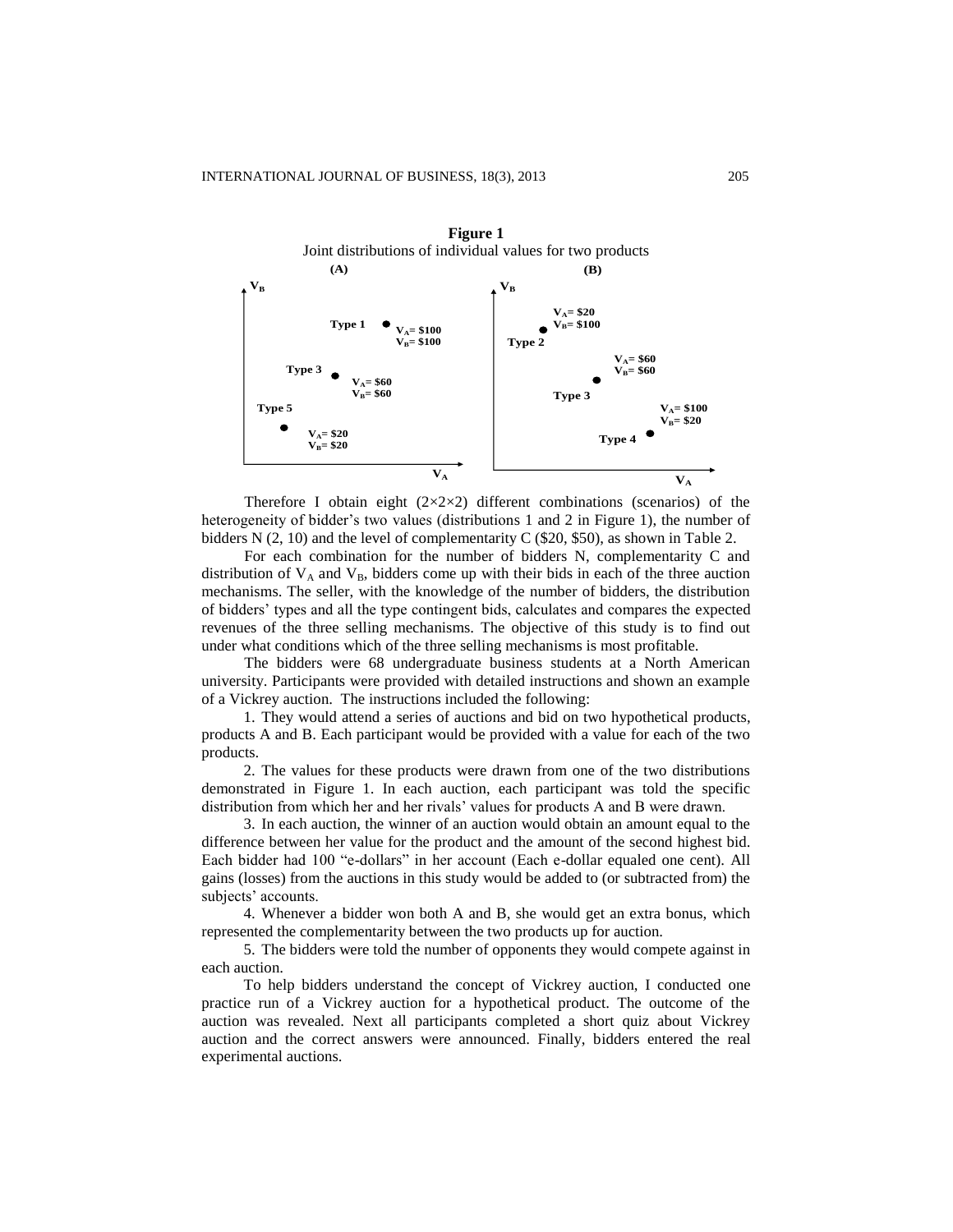

Therefore I obtain eight  $(2\times2\times2)$  different combinations (scenarios) of the heterogeneity of bidder's two values (distributions 1 and 2 in Figure 1), the number of bidders N (2, 10) and the level of complementarity C (\$20, \$50), as shown in Table 2.

For each combination for the number of bidders N, complementarity C and distribution of  $V_A$  and  $V_B$ , bidders come up with their bids in each of the three auction mechanisms. The seller, with the knowledge of the number of bidders, the distribution of bidders' types and all the type contingent bids, calculates and compares the expected revenues of the three selling mechanisms. The objective of this study is to find out under what conditions which of the three selling mechanisms is most profitable.

The bidders were 68 undergraduate business students at a North American university. Participants were provided with detailed instructions and shown an example of a Vickrey auction. The instructions included the following:

1. They would attend a series of auctions and bid on two hypothetical products, products A and B. Each participant would be provided with a value for each of the two products.

2. The values for these products were drawn from one of the two distributions demonstrated in Figure 1. In each auction, each participant was told the specific distribution from which her and her rivals' values for products A and B were drawn.

3. In each auction, the winner of an auction would obtain an amount equal to the difference between her value for the product and the amount of the second highest bid. Each bidder had 100 "e-dollars" in her account (Each e-dollar equaled one cent). All gains (losses) from the auctions in this study would be added to (or subtracted from) the subjects' accounts.

4. Whenever a bidder won both A and B, she would get an extra bonus, which represented the complementarity between the two products up for auction.

5. The bidders were told the number of opponents they would compete against in each auction.

To help bidders understand the concept of Vickrey auction, I conducted one practice run of a Vickrey auction for a hypothetical product. The outcome of the auction was revealed. Next all participants completed a short quiz about Vickrey auction and the correct answers were announced. Finally, bidders entered the real experimental auctions.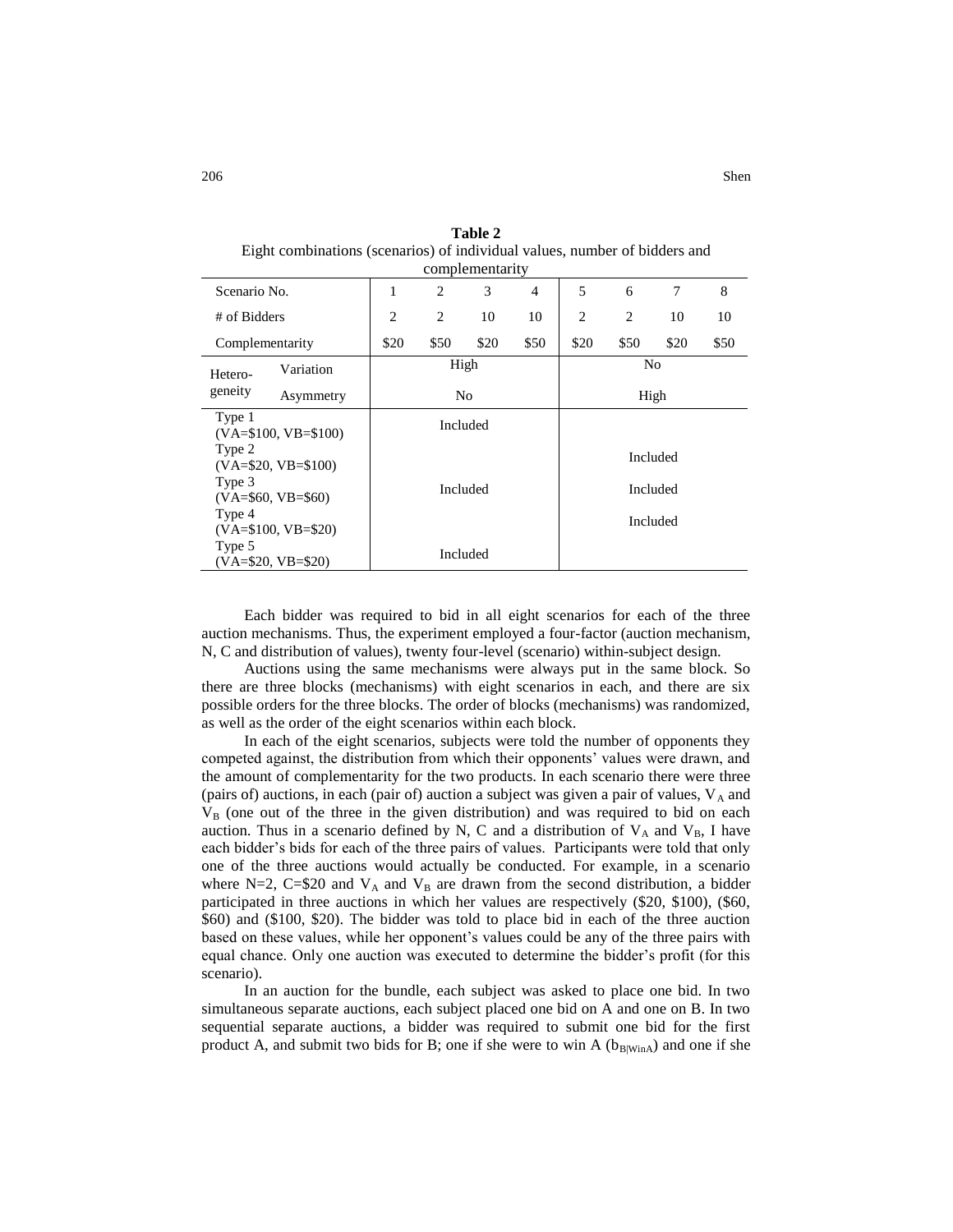| complementarity                          |                                              |                |                |                |      |          |          |   |
|------------------------------------------|----------------------------------------------|----------------|----------------|----------------|------|----------|----------|---|
| Scenario No.                             | 1                                            | $\overline{c}$ | 3              | $\overline{4}$ | 5    | 6        | 7        | 8 |
| # of Bidders                             | $\overline{2}$<br>$\overline{c}$<br>10<br>10 |                | $\overline{2}$ | $\overline{2}$ | 10   | 10       |          |   |
| Complementarity                          | \$50<br>\$50<br>\$20<br>\$20                 |                | \$20           | \$50           | \$20 | \$50     |          |   |
| Variation<br>Hetero-                     |                                              | High           |                |                |      | No       |          |   |
| geneity<br>Asymmetry                     |                                              | No             |                |                |      | High     |          |   |
| Type 1<br>$(VA = $100, VB = $100)$       | Included                                     |                |                |                |      |          |          |   |
| Type 2<br>$(VA= $20, VB= $100)$          |                                              |                |                |                |      |          | Included |   |
| Type 3<br>Included<br>$(VA=$60, VB=$60)$ |                                              | Included       |                |                |      |          |          |   |
| Type 4<br>$(VA=$100, VB=$20)$            |                                              |                |                |                |      | Included |          |   |
| Type 5<br>$(VA=$20, VB=$20)$             |                                              |                | Included       |                |      |          |          |   |

**Table 2**  Eight combinations (scenarios) of individual values, number of bidders and

Each bidder was required to bid in all eight scenarios for each of the three auction mechanisms. Thus, the experiment employed a four-factor (auction mechanism, N, C and distribution of values), twenty four-level (scenario) within-subject design.

Auctions using the same mechanisms were always put in the same block. So there are three blocks (mechanisms) with eight scenarios in each, and there are six possible orders for the three blocks. The order of blocks (mechanisms) was randomized, as well as the order of the eight scenarios within each block.

In each of the eight scenarios, subjects were told the number of opponents they competed against, the distribution from which their opponents' values were drawn, and the amount of complementarity for the two products. In each scenario there were three (pairs of) auctions, in each (pair of) auction a subject was given a pair of values,  $V_A$  and  $V_B$  (one out of the three in the given distribution) and was required to bid on each auction. Thus in a scenario defined by N, C and a distribution of  $V_A$  and  $V_B$ , I have each bidder's bids for each of the three pairs of values. Participants were told that only one of the three auctions would actually be conducted. For example, in a scenario where N=2, C=\$20 and  $V_A$  and  $V_B$  are drawn from the second distribution, a bidder participated in three auctions in which her values are respectively (\$20, \$100), (\$60, \$60) and (\$100, \$20). The bidder was told to place bid in each of the three auction based on these values, while her opponent's values could be any of the three pairs with equal chance. Only one auction was executed to determine the bidder's profit (for this scenario).

In an auction for the bundle, each subject was asked to place one bid. In two simultaneous separate auctions, each subject placed one bid on A and one on B. In two sequential separate auctions, a bidder was required to submit one bid for the first product A, and submit two bids for B; one if she were to win A  $(b_{B|WinA})$  and one if she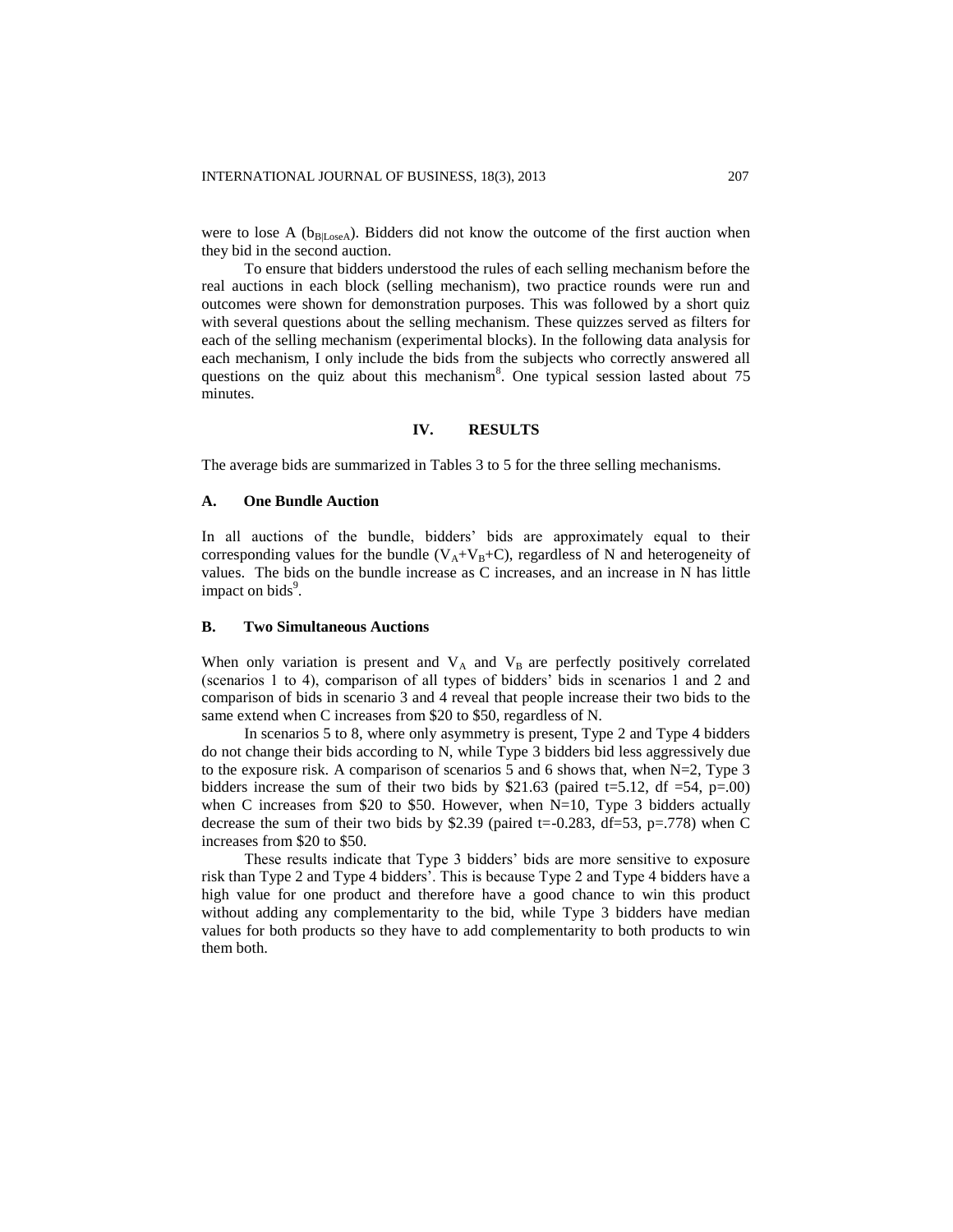were to lose A ( $b_{B|Loss}$ ). Bidders did not know the outcome of the first auction when they bid in the second auction.

To ensure that bidders understood the rules of each selling mechanism before the real auctions in each block (selling mechanism), two practice rounds were run and outcomes were shown for demonstration purposes. This was followed by a short quiz with several questions about the selling mechanism. These quizzes served as filters for each of the selling mechanism (experimental blocks). In the following data analysis for each mechanism, I only include the bids from the subjects who correctly answered all questions on the quiz about this mechanism<sup>8</sup>. One typical session lasted about  $75$ minutes.

### **IV. RESULTS**

The average bids are summarized in Tables 3 to 5 for the three selling mechanisms.

#### **A. One Bundle Auction**

In all auctions of the bundle, bidders' bids are approximately equal to their corresponding values for the bundle ( $V_A+V_B+C$ ), regardless of N and heterogeneity of values. The bids on the bundle increase as C increases, and an increase in N has little impact on bids<sup>9</sup>.

#### **B. Two Simultaneous Auctions**

When only variation is present and  $V_A$  and  $V_B$  are perfectly positively correlated (scenarios 1 to 4), comparison of all types of bidders' bids in scenarios 1 and 2 and comparison of bids in scenario 3 and 4 reveal that people increase their two bids to the same extend when C increases from \$20 to \$50, regardless of N.

In scenarios 5 to 8, where only asymmetry is present, Type 2 and Type 4 bidders do not change their bids according to N, while Type 3 bidders bid less aggressively due to the exposure risk. A comparison of scenarios 5 and 6 shows that, when N=2, Type 3 bidders increase the sum of their two bids by \$21.63 (paired t=5.12, df =54, p=.00) when C increases from \$20 to \$50. However, when  $N=10$ , Type 3 bidders actually decrease the sum of their two bids by \$2.39 (paired t=-0.283,  $df=53$ , p=.778) when C increases from \$20 to \$50.

These results indicate that Type 3 bidders' bids are more sensitive to exposure risk than Type 2 and Type 4 bidders'. This is because Type 2 and Type 4 bidders have a high value for one product and therefore have a good chance to win this product without adding any complementarity to the bid, while Type 3 bidders have median values for both products so they have to add complementarity to both products to win them both.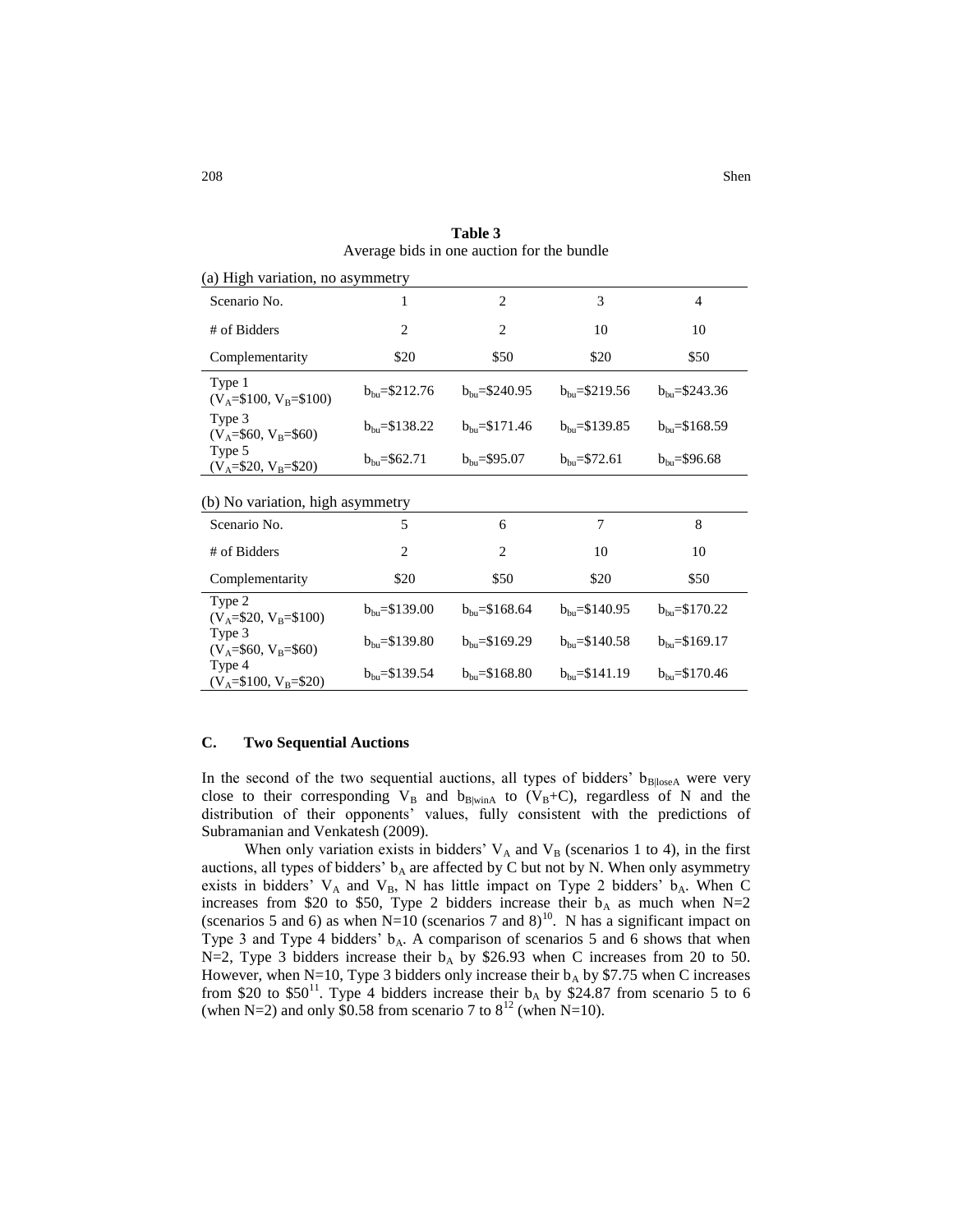| 208 | Shen |
|-----|------|
|     |      |

| (a) High variation, no asymmetry    |                           |                           |                           |                           |  |  |
|-------------------------------------|---------------------------|---------------------------|---------------------------|---------------------------|--|--|
| Scenario No.                        | 1                         | $\overline{2}$            | 3                         | 4                         |  |  |
| # of Bidders                        | 2                         | $\overline{2}$            | 10                        | 10                        |  |  |
| Complementarity                     | \$20                      | \$50                      | \$20                      | \$50                      |  |  |
| Type 1<br>$(V_A=$100, V_B=$100)$    | $b_{\text{bu}} = $212.76$ | $b_{\text{bu}} = $240.95$ | $b_{\text{bu}} = $219.56$ | $b_{\text{bu}} = $243.36$ |  |  |
| Type 3<br>$(V_A = $60, V_B = $60)$  | $b_{bu} = $138.22$        | $b_{\rm bu} = $171.46$    | $b_{\rm bu} = $139.85$    | $b_{\text{bu}} = $168.59$ |  |  |
| Type 5<br>$(V_A = $20, V_B = $20)$  | $b_{\text{bu}} = $62.71$  | $b_{bu} = $95.07$         | $b_{\text{bu}} = $72.61$  | $b_{bu} = $96.68$         |  |  |
| (b) No variation, high asymmetry    |                           |                           |                           |                           |  |  |
| Scenario No.                        | 5                         | 6                         | 7                         | 8                         |  |  |
| # of Bidders                        | $\overline{2}$            | $\overline{2}$            | 10                        | 10                        |  |  |
| Complementarity                     | \$20                      | \$50                      | \$20                      | \$50                      |  |  |
| Type 2<br>$(V_A = $20, V_B = $100)$ | $b_{\text{bu}} = $139.00$ | $b_{\text{bu}} = $168.64$ | $b_{\text{bu}} = $140.95$ | $b_{bu} = $170.22$        |  |  |
| Type 3<br>$(V_A = $60, V_B = $60)$  | $b_{bu} = $139.80$        | $b_{\text{bu}} = $169.29$ | $b_{\text{bu}} = $140.58$ | $b_{\text{bu}} = $169.17$ |  |  |
| Type 4<br>$(V_A=$100, V_B=$20)$     | $b_{\text{bu}} = $139.54$ | $b_{\text{bu}} = $168.80$ | $b_{bu} = $141.19$        | $b_{\rm bu} = $170.46$    |  |  |
|                                     |                           |                           |                           |                           |  |  |

**Table 3**  Average bids in one auction for the bundle

#### **C. Two Sequential Auctions**

In the second of the two sequential auctions, all types of bidders'  $b_{\text{BloseA}}$  were very close to their corresponding  $V_B$  and  $b_{B|winA}$  to  $(V_B+C)$ , regardless of N and the distribution of their opponents' values, fully consistent with the predictions of Subramanian and Venkatesh (2009).

When only variation exists in bidders'  $V_A$  and  $V_B$  (scenarios 1 to 4), in the first auctions, all types of bidders'  $b_A$  are affected by C but not by N. When only asymmetry exists in bidders'  $V_A$  and  $V_B$ , N has little impact on Type 2 bidders'  $b_A$ . When C increases from \$20 to \$50, Type 2 bidders increase their  $b_A$  as much when N=2 (scenarios 5 and 6) as when  $N=10$  (scenarios 7 and 8)<sup>10</sup>. N has a significant impact on Type 3 and Type 4 bidders'  $b_A$ . A comparison of scenarios 5 and 6 shows that when N=2, Type 3 bidders increase their  $b_A$  by \$26.93 when C increases from 20 to 50. However, when N=10, Type 3 bidders only increase their  $b_A$  by \$7.75 when C increases from \$20 to \$50<sup>11</sup>. Type 4 bidders increase their  $b_A$  by \$24.87 from scenario 5 to 6 (when N=2) and only \$0.58 from scenario 7 to  $8^{12}$  (when N=10).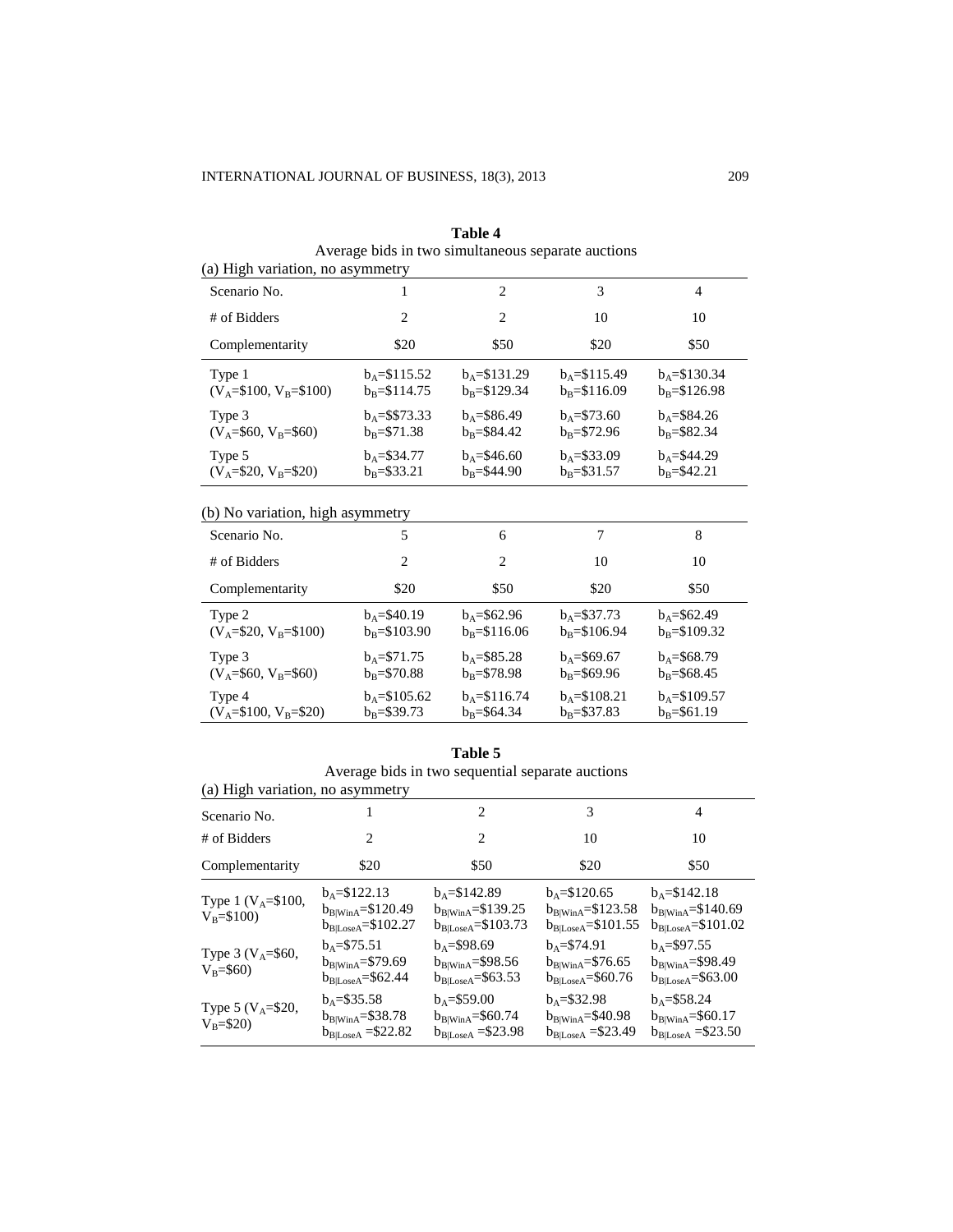| (a) High variation, no asymmetry     |                                    |                                    |                                    |                                    |  |  |
|--------------------------------------|------------------------------------|------------------------------------|------------------------------------|------------------------------------|--|--|
| Scenario No.                         |                                    | $\mathcal{D}_{\mathcal{L}}$        | 3                                  | 4                                  |  |  |
| # of Bidders                         | 2                                  | $\mathfrak{D}$                     | 10                                 | 10                                 |  |  |
| Complementarity                      | \$20                               | \$50                               | \$20                               | \$50                               |  |  |
| Type 1<br>$(V_A = $100, V_B = $100)$ | $b_4 = $115.52$<br>$b_R = $114.75$ | $b_4 = $131.29$<br>$b_B = $129.34$ | $b_4 = $115.49$<br>$b_R = $116.09$ | $b_4 = $130.34$<br>$b_R = $126.98$ |  |  |
| Type 3<br>$(V_A = $60, V_B = $60)$   | $b_0 = $\$73.33$<br>$b_R = $71.38$ | $b_4 = $86.49$<br>$b_R = $84.42$   | $b_4 = $73.60$<br>$b_R = $72.96$   | $b_4 = $84.26$<br>$b_R = $82.34$   |  |  |
| Type 5<br>$(V_A = $20, V_B = $20)$   | $b_4 = $34.77$<br>$b_R = $33.21$   | $b_4 = $46.60$<br>$b_R = $44.90$   | $b_4 = $33.09$<br>$b_R = $31.57$   | $b_A = $44.29$<br>$b_R = $42.21$   |  |  |
|                                      |                                    |                                    |                                    |                                    |  |  |

**Table 4**  Average bids in two simultaneous separate auctions

# (b) No variation, high asymmetry

| Scenario No.              | 5                    | 6                    | 7                    | 8                    |
|---------------------------|----------------------|----------------------|----------------------|----------------------|
| # of Bidders              | 2                    | $\mathcal{D}$        | 10                   | 10                   |
| Complementarity           | \$20                 | \$50                 | \$20                 | \$50                 |
| Type 2                    | $b_A = $40.19$       | $b_4 = $62.96$       | $b_4 = $37.73$       | $b_4 = $62.49$       |
| $(V_A = $20, V_B = $100)$ | $b_R = $103.90$      | $b_R = $116.06$      | $b_R = $106.94$      | $b_R = $109.32$      |
| Type 3                    | $b_4 = $71.75$       | $b_4 = $85.28$       | $b_4 = $69.67$       | $b_4 = $68.79$       |
| $(V_A = $60, V_B = $60)$  | $b_{\rm B} = $70.88$ | $b_R = $78.98$       | $b_R = $69.96$       | $b_{\rm B} = $68.45$ |
| Type 4                    | $b_4 = $105.62$      | $b_4 = $116.74$      | $b_4 = $108.21$      | $b_A = $109.57$      |
| $(V_A = $100, V_B = $20)$ | $b_{\rm B} = $39.73$ | $b_{\rm B} = $64.34$ | $b_{\rm B} = $37.83$ | $b_{B} = $61.19$     |

#### **Table 5**

|                                         |                                                                           | Average bids in two sequential separate auctions                      |                                                                        |                                                                        |
|-----------------------------------------|---------------------------------------------------------------------------|-----------------------------------------------------------------------|------------------------------------------------------------------------|------------------------------------------------------------------------|
| (a) High variation, no asymmetry        |                                                                           |                                                                       |                                                                        |                                                                        |
| Scenario No.                            |                                                                           | $\mathfrak{D}_{\mathfrak{p}}$                                         | 3                                                                      | 4                                                                      |
| # of Bidders                            | 2                                                                         | 2                                                                     | 10                                                                     | 10                                                                     |
| Complementarity                         | \$20                                                                      | \$50                                                                  | \$20                                                                   | \$50                                                                   |
| Type 1 ( $V_A = $100$ ,<br>$V_R = $100$ | $b_4 = $122.13$<br>$b_{B WinA} = $120.49$<br>$b_{\rm B LosseA} = $102.27$ | $b_4 = $142.89$<br>$b_{B WinA} = $139.25$<br>$b_{B Loss A} = $103.73$ | $b_A = $120.65$<br>$b_{B WinA} = $123.58$<br>$b_{B Loss A} = $101.55$  | $b_A = $142.18$<br>$b_{B WinA} = $140.69$<br>$b_{B Loss A} = $101.02$  |
| Type 3 ( $V_A = $60$ ,<br>$V_B = $60$   | $b_A = $75.51$<br>$b_{B WinA} = $79.69$<br>$b_{\rm B Loss A} = $62.44$    | $b_4 = $98.69$<br>$b_{B WinA} = $98.56$<br>$b_{B Loss A} = $63.53$    | $b_4 = $74.91$<br>$b_{B WinA} = $76.65$<br>$b_{\rm B Loss A} = $60.76$ | $b_4 = $97.55$<br>$b_{B WinA} = $98.49$<br>$b_{\rm B Loss A} = $63.00$ |
| Type 5 ( $V_A = $20$ ,<br>$V_B = $20$   | $b_0 = $35.58$<br>$b_{B WinA} = $38.78$<br>$b_{B LossA} = $22.82$         | $b_A = $59.00$<br>$b_{B WinA} = $60.74$<br>$b_{B Loss A} = $23.98$    | $b_4 = $32.98$<br>$b_{B WinA} = $40.98$<br>$b_{B LossA} = $23.49$      | $b_4 = $58.24$<br>$b_{B WinA} = $60.17$<br>$b_{B LossA} = $23.50$      |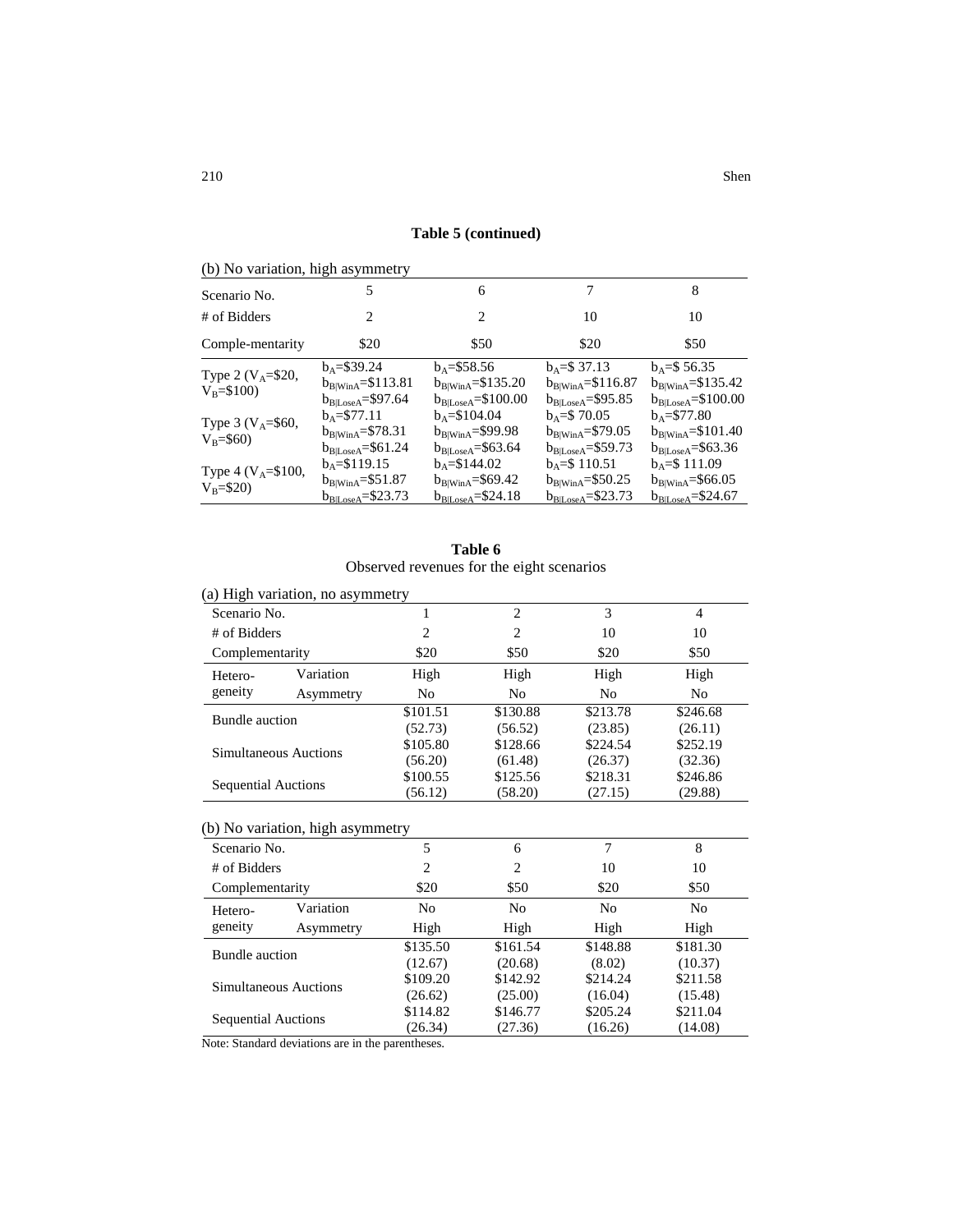| Table 5 (continued) |
|---------------------|
|                     |

| (b) No variation, high asymmetry       |                                   |                                       |                                 |                                        |
|----------------------------------------|-----------------------------------|---------------------------------------|---------------------------------|----------------------------------------|
| Scenario No.                           | 5                                 | 6                                     |                                 | 8                                      |
| # of Bidders                           | 2                                 | 2                                     | 10                              | 10                                     |
| Comple-mentarity                       | \$20                              | \$50                                  | \$20                            | \$50                                   |
|                                        | $b_A = $39.24$                    | $b_A = $58.56$                        | $b_A = $37.13$                  | $b_A = $56.35$                         |
| Type 2 ( $V_A = $20$ ,<br>$V_B = $100$ | $b_{B WinA} = $113.81$            | $b_{B WinA} = $135.20$                | $b_{B WinA} = $116.87$          | $b_{B WinA} = $135.42$                 |
|                                        | $b_{\rm B LossA}\!\!=\!\!\$97.64$ | $b_{\rm B Loss A} \!\!=\!\! \$100.00$ | $b_{\rm B Loss A} = $95.85$     | $b_{\rm B LosseA}\!\!=\!\!\$100.00$    |
| Type 3 ( $V_A = $60$ ,                 | $b_A = $77.11$                    | $b_A = $104.04$                       | $b_A = $70.05$                  | $b_A = $77.80$                         |
| $V_B = $60$                            | $b_{B WinA} = $78.31$             | $b_{B WinA} = $99.98$                 | $b_{\rm B WinA}\text{=}\$79.05$ | $b_{B WinA} = $101.40$                 |
|                                        | $b_{B Loss A} = $61.24$           | $b_{\rm B Loss A} = $63.64$           | $b_{B Loss A} = $59.73$         | $b_{B Loss A} = $63.36$                |
| Type 4 ( $V_A = $100$ ,                | $b_A = $119.15$                   | $b_A = $144.02$                       | $b_A = $110.51$                 | $b_A = $111.09$                        |
| $V_B = $20$                            | $b_{B WinA} = $51.87$             | $b_{B WinA} = $69.42$                 | $b_{B WinA} = $50.25$           | $b_{\rm B WinA}\text{=}\$66.05$        |
|                                        | $b_{\text{BlLoseA}} = $23.73$     | $b_{\text{BlLoseA}} = $24.18$         | $b_{\text{BlLoseA}}$ =\$23.73   | $b_{\text{B} {\text{LoseA}}} = $24.67$ |

| Table 6                                   |  |
|-------------------------------------------|--|
| Observed revenues for the eight scenarios |  |

|                            | (a) High variation, no asymmetry |          |                |                |                |  |  |  |
|----------------------------|----------------------------------|----------|----------------|----------------|----------------|--|--|--|
| Scenario No.               |                                  |          | 2              | 3              | $\overline{4}$ |  |  |  |
| # of Bidders               |                                  | 2        | 2              | 10             | 10             |  |  |  |
| Complementarity            |                                  | \$20     | \$50           | \$20           | \$50           |  |  |  |
| Hetero-                    | Variation                        | High     | High           | High           | High           |  |  |  |
| geneity                    | Asymmetry                        | No       | N <sub>0</sub> | N <sub>0</sub> | No.            |  |  |  |
| Bundle auction             |                                  | \$101.51 | \$130.88       | \$213.78       | \$246.68       |  |  |  |
|                            |                                  | (52.73)  | (56.52)        | (23.85)        | (26.11)        |  |  |  |
| Simultaneous Auctions      |                                  | \$105.80 | \$128.66       | \$224.54       | \$252.19       |  |  |  |
|                            |                                  | (56.20)  | (61.48)        | (26.37)        | (32.36)        |  |  |  |
|                            |                                  | \$100.55 | \$125.56       | \$218.31       | \$246.86       |  |  |  |
| <b>Sequential Auctions</b> |                                  | (56.12)  | (58.20)        | (27.15)        | (29.88)        |  |  |  |

# (b) No variation, high asymmetry

| Scenario No.               |           | 5              | 6              |                | 8        |
|----------------------------|-----------|----------------|----------------|----------------|----------|
| # of Bidders               |           | 2              | 2              | 10             | 10       |
| Complementarity            |           | \$20           | \$50           | \$20           | \$50     |
| Hetero-                    | Variation | N <sub>0</sub> | N <sub>0</sub> | N <sub>0</sub> | No       |
| geneity                    | Asymmetry | High           | High           | High           | High     |
| <b>Bundle</b> auction      |           | \$135.50       | \$161.54       | \$148.88       | \$181.30 |
|                            |           | (12.67)        | (20.68)        | (8.02)         | (10.37)  |
| Simultaneous Auctions      |           | \$109.20       | \$142.92       | \$214.24       | \$211.58 |
|                            |           | (26.62)        | (25.00)        | (16.04)        | (15.48)  |
| <b>Sequential Auctions</b> |           | \$114.82       | \$146.77       | \$205.24       | \$211.04 |
|                            |           | (26.34)        | (27.36)        | (16.26)        | (14.08)  |

Note: Standard deviations are in the parentheses.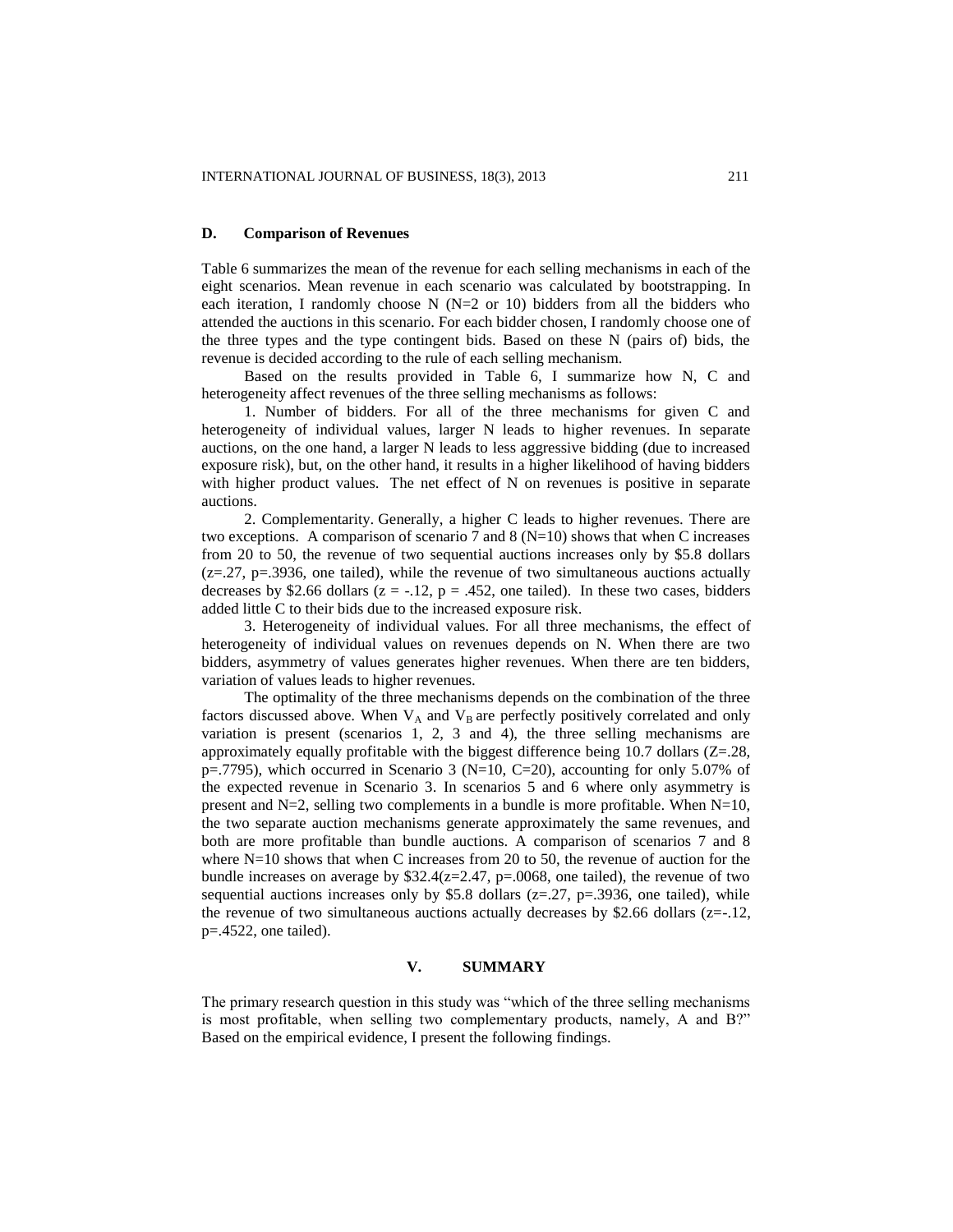#### **D. Comparison of Revenues**

Table 6 summarizes the mean of the revenue for each selling mechanisms in each of the eight scenarios. Mean revenue in each scenario was calculated by bootstrapping. In each iteration, I randomly choose N  $(N=2 \text{ or } 10)$  bidders from all the bidders who attended the auctions in this scenario. For each bidder chosen, I randomly choose one of the three types and the type contingent bids. Based on these N (pairs of) bids, the revenue is decided according to the rule of each selling mechanism.

Based on the results provided in Table 6, I summarize how N, C and heterogeneity affect revenues of the three selling mechanisms as follows:

1. Number of bidders. For all of the three mechanisms for given C and heterogeneity of individual values, larger N leads to higher revenues. In separate auctions, on the one hand, a larger N leads to less aggressive bidding (due to increased exposure risk), but, on the other hand, it results in a higher likelihood of having bidders with higher product values. The net effect of N on revenues is positive in separate auctions.

2. Complementarity. Generally, a higher C leads to higher revenues. There are two exceptions. A comparison of scenario 7 and 8 ( $N=10$ ) shows that when C increases from 20 to 50, the revenue of two sequential auctions increases only by \$5.8 dollars  $(z=0.27, p=.3936$ , one tailed), while the revenue of two simultaneous auctions actually decreases by \$2.66 dollars  $(z = -12, p = 0.452)$ , one tailed). In these two cases, bidders added little C to their bids due to the increased exposure risk.

3. Heterogeneity of individual values. For all three mechanisms, the effect of heterogeneity of individual values on revenues depends on N. When there are two bidders, asymmetry of values generates higher revenues. When there are ten bidders, variation of values leads to higher revenues.

The optimality of the three mechanisms depends on the combination of the three factors discussed above. When  $V_A$  and  $V_B$  are perfectly positively correlated and only variation is present (scenarios 1, 2, 3 and 4), the three selling mechanisms are approximately equally profitable with the biggest difference being 10.7 dollars  $(Z=28$ ,  $p=0.7795$ , which occurred in Scenario 3 (N=10, C=20), accounting for only 5.07% of the expected revenue in Scenario 3. In scenarios 5 and 6 where only asymmetry is present and  $N=2$ , selling two complements in a bundle is more profitable. When  $N=10$ , the two separate auction mechanisms generate approximately the same revenues, and both are more profitable than bundle auctions. A comparison of scenarios 7 and 8 where N=10 shows that when C increases from 20 to 50, the revenue of auction for the bundle increases on average by  $$32.4(z=2.47, p=.0068]$ , one tailed), the revenue of two sequential auctions increases only by \$5.8 dollars ( $z=27$ ,  $p=.3936$ , one tailed), while the revenue of two simultaneous auctions actually decreases by \$2.66 dollars  $(z=-.12,$ p=.4522, one tailed).

# **V. SUMMARY**

The primary research question in this study was "which of the three selling mechanisms is most profitable, when selling two complementary products, namely, A and B?" Based on the empirical evidence, I present the following findings.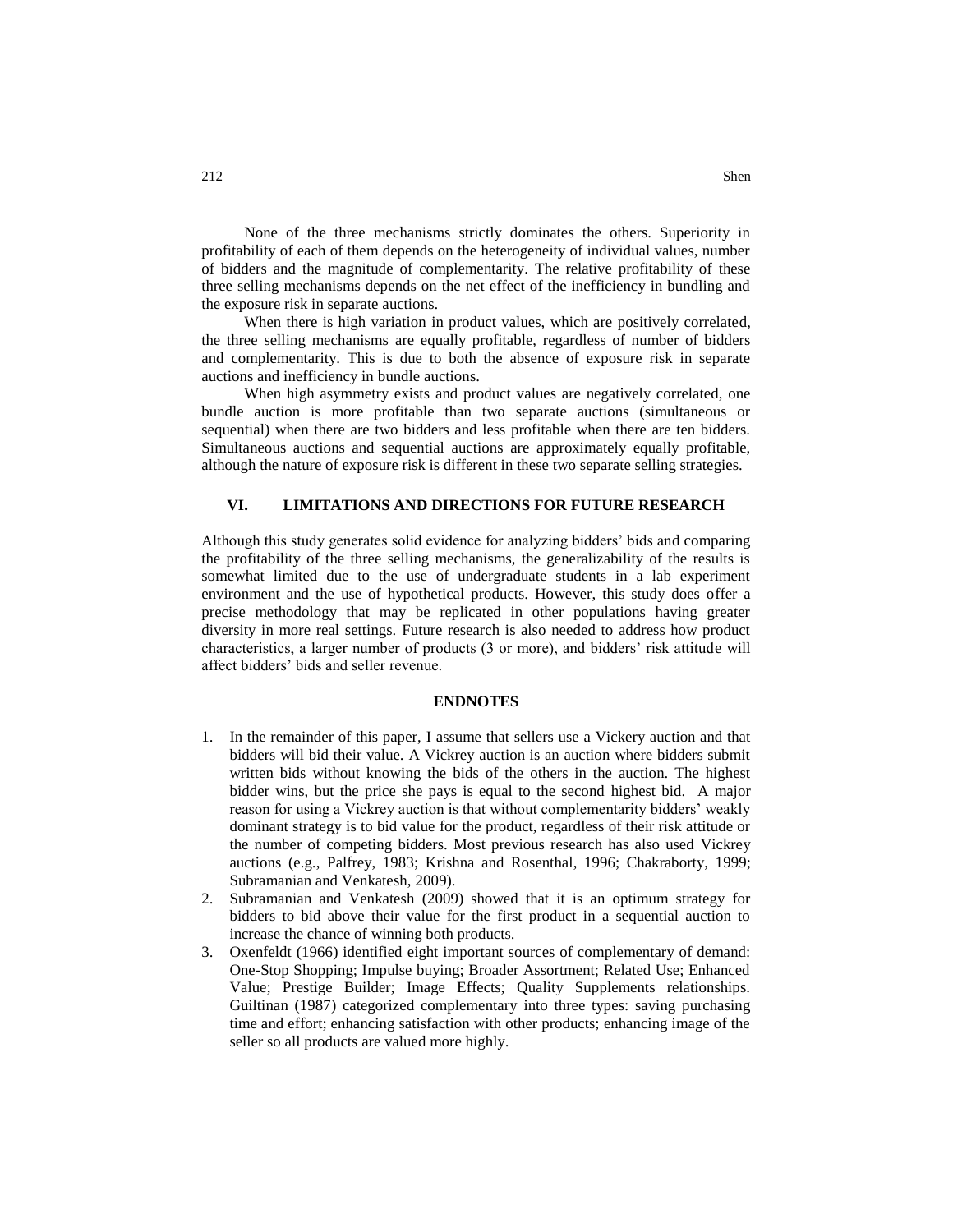None of the three mechanisms strictly dominates the others. Superiority in profitability of each of them depends on the heterogeneity of individual values, number of bidders and the magnitude of complementarity. The relative profitability of these three selling mechanisms depends on the net effect of the inefficiency in bundling and the exposure risk in separate auctions.

When there is high variation in product values, which are positively correlated, the three selling mechanisms are equally profitable, regardless of number of bidders and complementarity. This is due to both the absence of exposure risk in separate auctions and inefficiency in bundle auctions.

When high asymmetry exists and product values are negatively correlated, one bundle auction is more profitable than two separate auctions (simultaneous or sequential) when there are two bidders and less profitable when there are ten bidders. Simultaneous auctions and sequential auctions are approximately equally profitable, although the nature of exposure risk is different in these two separate selling strategies.

#### **VI. LIMITATIONS AND DIRECTIONS FOR FUTURE RESEARCH**

Although this study generates solid evidence for analyzing bidders' bids and comparing the profitability of the three selling mechanisms, the generalizability of the results is somewhat limited due to the use of undergraduate students in a lab experiment environment and the use of hypothetical products. However, this study does offer a precise methodology that may be replicated in other populations having greater diversity in more real settings. Future research is also needed to address how product characteristics, a larger number of products (3 or more), and bidders' risk attitude will affect bidders' bids and seller revenue.

#### **ENDNOTES**

- 1. In the remainder of this paper, I assume that sellers use a Vickery auction and that bidders will bid their value. A Vickrey auction is an auction where bidders submit written bids without knowing the bids of the others in the auction. The highest bidder wins, but the price she pays is equal to the second highest bid. A major reason for using a Vickrey auction is that without complementarity bidders' weakly dominant strategy is to bid value for the product, regardless of their risk attitude or the number of competing bidders. Most previous research has also used Vickrey auctions (e.g., Palfrey, 1983; Krishna and Rosenthal, 1996; Chakraborty, 1999; Subramanian and Venkatesh, 2009).
- 2. Subramanian and Venkatesh (2009) showed that it is an optimum strategy for bidders to bid above their value for the first product in a sequential auction to increase the chance of winning both products.
- 3. Oxenfeldt (1966) identified eight important sources of complementary of demand: One-Stop Shopping; Impulse buying; Broader Assortment; Related Use; Enhanced Value; Prestige Builder; Image Effects; Quality Supplements relationships. Guiltinan (1987) categorized complementary into three types: saving purchasing time and effort; enhancing satisfaction with other products; enhancing image of the seller so all products are valued more highly.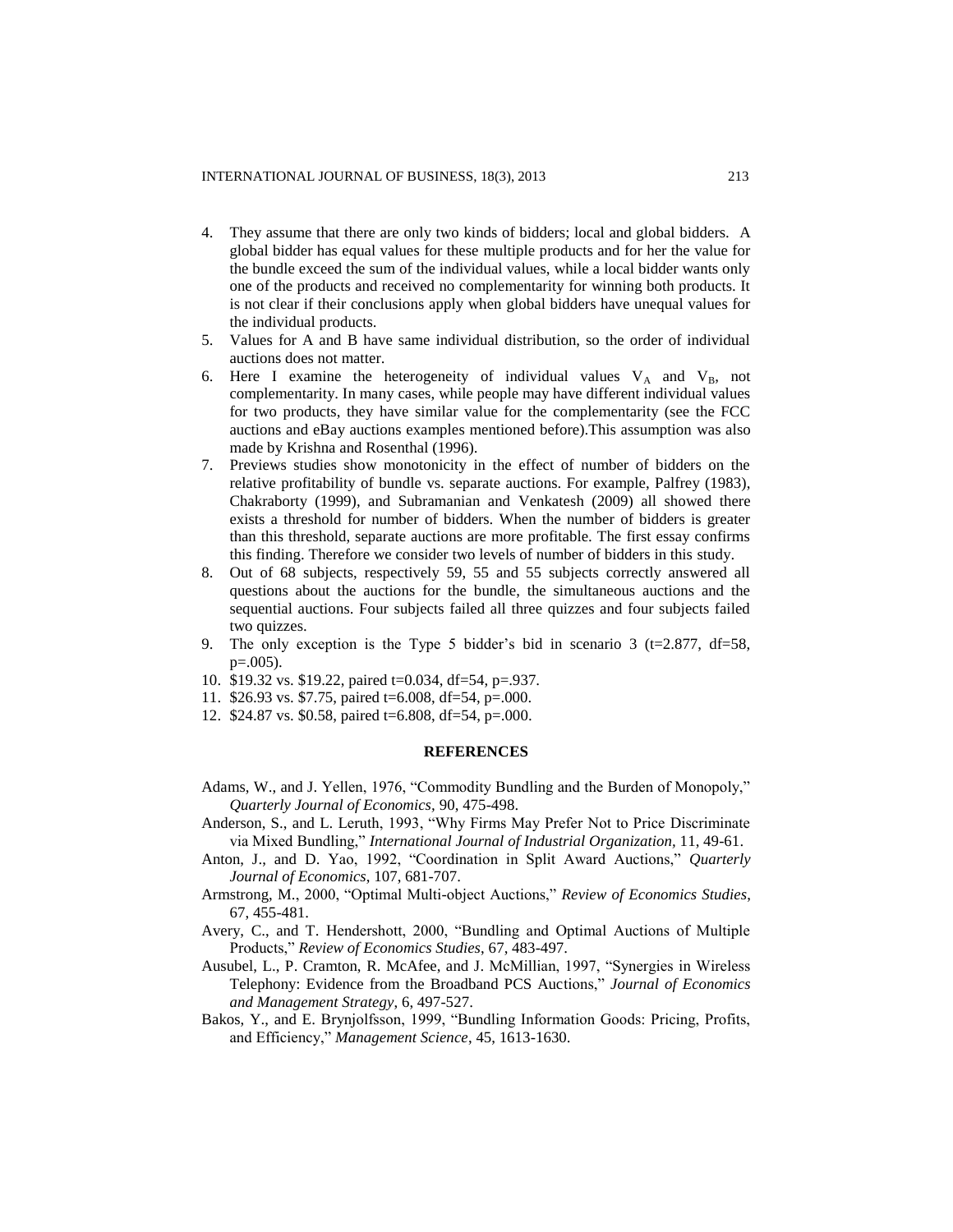- 4. They assume that there are only two kinds of bidders; local and global bidders. A global bidder has equal values for these multiple products and for her the value for the bundle exceed the sum of the individual values, while a local bidder wants only one of the products and received no complementarity for winning both products. It is not clear if their conclusions apply when global bidders have unequal values for the individual products.
- 5. Values for A and B have same individual distribution, so the order of individual auctions does not matter.
- 6. Here I examine the heterogeneity of individual values  $V_A$  and  $V_B$ , not complementarity. In many cases, while people may have different individual values for two products, they have similar value for the complementarity (see the FCC auctions and eBay auctions examples mentioned before).This assumption was also made by Krishna and Rosenthal (1996).
- 7. Previews studies show monotonicity in the effect of number of bidders on the relative profitability of bundle vs. separate auctions. For example, Palfrey (1983), Chakraborty (1999), and Subramanian and Venkatesh (2009) all showed there exists a threshold for number of bidders. When the number of bidders is greater than this threshold, separate auctions are more profitable. The first essay confirms this finding. Therefore we consider two levels of number of bidders in this study.
- 8. Out of 68 subjects, respectively 59, 55 and 55 subjects correctly answered all questions about the auctions for the bundle, the simultaneous auctions and the sequential auctions. Four subjects failed all three quizzes and four subjects failed two quizzes.
- 9. The only exception is the Type 5 bidder's bid in scenario 3 (t=2.877, df=58, p=.005).
- 10. \$19.32 vs. \$19.22, paired t=0.034, df=54, p=.937.
- 11. \$26.93 vs. \$7.75, paired t=6.008, df=54, p=.000.
- 12. \$24.87 vs. \$0.58, paired t=6.808, df=54, p=.000.

#### **REFERENCES**

- Adams, W., and J. Yellen, 1976, "Commodity Bundling and the Burden of Monopoly," *Quarterly Journal of Economics,* 90, 475-498.
- Anderson, S., and L. Leruth, 1993, "Why Firms May Prefer Not to Price Discriminate via Mixed Bundling," *International Journal of Industrial Organization,* 11, 49-61.
- Anton, J., and D. Yao, 1992, "Coordination in Split Award Auctions," *Quarterly Journal of Economics*, 107, 681-707.
- Armstrong, M., 2000, "Optimal Multi-object Auctions," *Review of Economics Studies*, 67, 455-481.
- Avery, C., and T. Hendershott, 2000, "Bundling and Optimal Auctions of Multiple Products," *Review of Economics Studies*, 67, 483-497.
- Ausubel, L., P. Cramton, R. McAfee, and J. McMillian, 1997, "Synergies in Wireless Telephony: Evidence from the Broadband PCS Auctions," *Journal of Economics and Management Strategy*, 6, 497-527.
- Bakos, Y., and E. Brynjolfsson, 1999, "Bundling Information Goods: Pricing, Profits, and Efficiency," *Management Science*, 45, 1613-1630.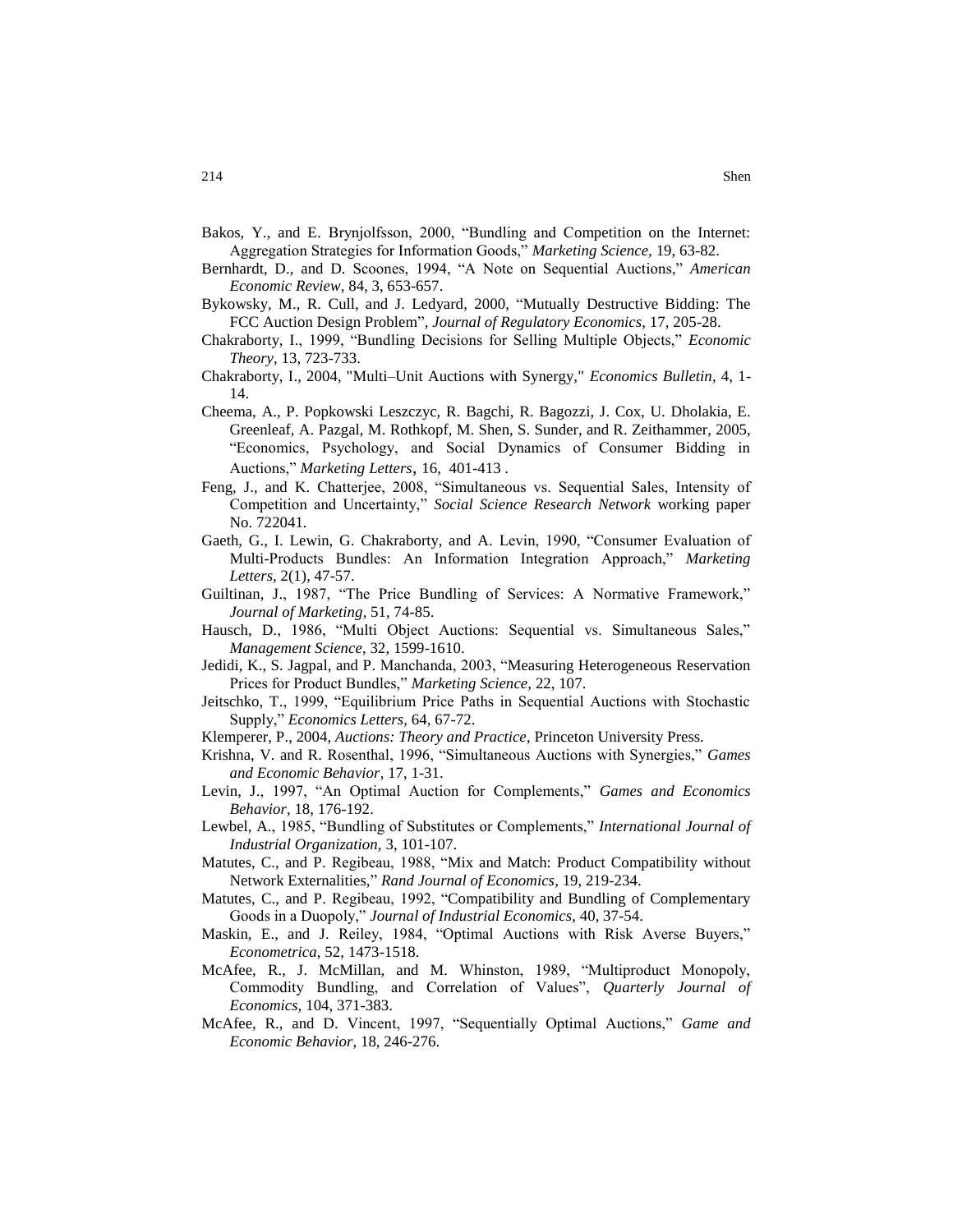- Bakos, Y., and E. Brynjolfsson, 2000, "Bundling and Competition on the Internet: Aggregation Strategies for Information Goods," *Marketing Science,* 19, 63-82.
- Bernhardt, D., and D. Scoones, 1994, "A Note on Sequential Auctions," *American Economic Review*, 84, 3, 653-657.
- Bykowsky, M., R. Cull, and J. Ledyard, 2000, "Mutually Destructive Bidding: The FCC Auction Design Problem", *[Journal of Regulatory Economics](http://ideas.repec.org/s/kap/regeco.html)*, 17, 205-28.
- Chakraborty, I., 1999, "Bundling Decisions for Selling Multiple Objects," *Economic Theory*, 13, 723-733.
- Chakraborty, I., 2004, "Multi–Unit Auctions with Synergy," *Economics Bulletin*, 4, 1- 14.
- Cheema, A., P. Popkowski Leszczyc, R. Bagchi, R. Bagozzi, J. Cox, U. Dholakia, E. Greenleaf, A. Pazgal, M. Rothkopf, M. Shen, S. Sunder, and R. Zeithammer, 2005, "Economics, Psychology, and Social Dynamics of Consumer Bidding in Auctions," *Marketing Letters*, 16, 401-413 .
- Feng, J., and K. Chatterjee, 2008, "Simultaneous vs. Sequential Sales, Intensity of Competition and Uncertainty," *Social Science Research Network* working paper No. 722041.
- Gaeth, G., I. Lewin, G. Chakraborty, and A. Levin, 1990, "Consumer Evaluation of Multi-Products Bundles: An Information Integration Approach," *Marketing Letters,* 2(1), 47-57.
- Guiltinan, J., 1987, "The Price Bundling of Services: A Normative Framework," *Journal of Marketing*, 51, 74-85.
- Hausch, D., 1986, "Multi Object Auctions: Sequential vs. Simultaneous Sales," *Management Science*, 32, 1599-1610.
- Jedidi, K., S. Jagpal, and P. Manchanda, 2003, "Measuring Heterogeneous Reservation Prices for Product Bundles," *Marketing Science,* 22, 107.
- Jeitschko, T., 1999, "Equilibrium Price Paths in Sequential Auctions with Stochastic Supply," *Economics Letters*, 64, 67-72.
- Klemperer, P., 2004, *Auctions: Theory and Practice*, Princeton University Press.
- Krishna, V. and R. Rosenthal, 1996, "Simultaneous Auctions with Synergies," *Games and Economic Behavior*, 17, 1-31.
- Levin, J., 1997, "An Optimal Auction for Complements," *Games and Economics Behavior*, 18, 176-192.
- Lewbel, A., 1985, "Bundling of Substitutes or Complements," *International Journal of Industrial Organization,* 3, 101-107.
- Matutes, C., and P. Regibeau, 1988, "Mix and Match: Product Compatibility without Network Externalities," *Rand Journal of Economics*, 19, 219-234.
- Matutes, C., and P. Regibeau, 1992, "Compatibility and Bundling of Complementary Goods in a Duopoly," *Journal of Industrial Economics*, 40, 37-54.
- Maskin, E., and J. Reiley, 1984, "Optimal Auctions with Risk Averse Buyers," *Econometrica*, 52, 1473-1518.
- McAfee, R., J. McMillan, and M. Whinston, 1989, "Multiproduct Monopoly, Commodity Bundling, and Correlation of Values", *Quarterly Journal of Economics,* 104, 371-383.
- McAfee, R., and D. Vincent, 1997, "Sequentially Optimal Auctions," *Game and Economic Behavior*, 18, 246-276.